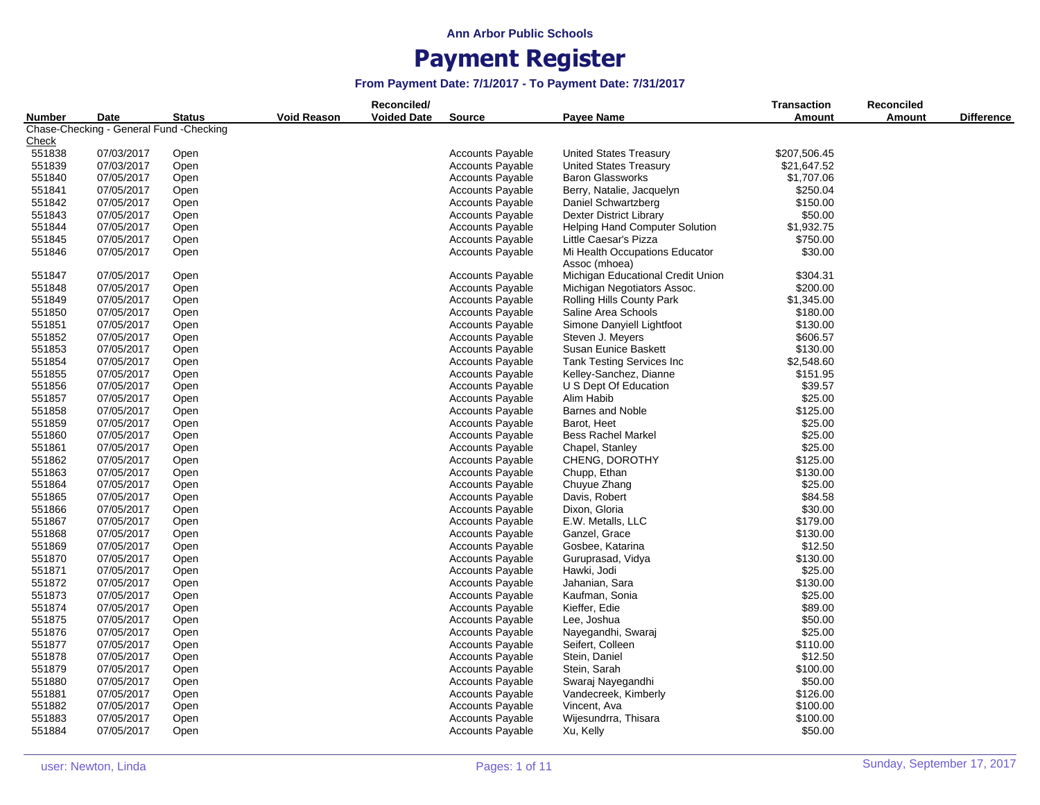|                                                                            |            |                    |                    | Reconciled/   |                         |                                   | Transaction  | Reconciled        |  |
|----------------------------------------------------------------------------|------------|--------------------|--------------------|---------------|-------------------------|-----------------------------------|--------------|-------------------|--|
| <b>Status</b><br>Number<br>Date<br>Chase-Checking - General Fund -Checking |            | <b>Void Reason</b> | <b>Voided Date</b> | <b>Source</b> | Payee Name              | <b>Amount</b>                     | Amount       | <b>Difference</b> |  |
|                                                                            |            |                    |                    |               |                         |                                   |              |                   |  |
| <u>Check</u>                                                               |            |                    |                    |               |                         |                                   |              |                   |  |
| 551838                                                                     | 07/03/2017 | Open               |                    |               | <b>Accounts Payable</b> | <b>United States Treasury</b>     | \$207,506.45 |                   |  |
| 551839                                                                     | 07/03/2017 | Open               |                    |               | <b>Accounts Payable</b> | <b>United States Treasury</b>     | \$21,647.52  |                   |  |
| 551840                                                                     | 07/05/2017 | Open               |                    |               | <b>Accounts Payable</b> | <b>Baron Glassworks</b>           | \$1,707.06   |                   |  |
| 551841                                                                     | 07/05/2017 | Open               |                    |               | <b>Accounts Payable</b> | Berry, Natalie, Jacquelyn         | \$250.04     |                   |  |
| 551842                                                                     | 07/05/2017 | Open               |                    |               | <b>Accounts Payable</b> | Daniel Schwartzberg               | \$150.00     |                   |  |
| 551843                                                                     | 07/05/2017 | Open               |                    |               | <b>Accounts Payable</b> | Dexter District Library           | \$50.00      |                   |  |
| 551844                                                                     | 07/05/2017 | Open               |                    |               | <b>Accounts Payable</b> | Helping Hand Computer Solution    | \$1,932.75   |                   |  |
| 551845                                                                     | 07/05/2017 | Open               |                    |               | <b>Accounts Payable</b> | Little Caesar's Pizza             | \$750.00     |                   |  |
| 551846                                                                     | 07/05/2017 | Open               |                    |               | <b>Accounts Payable</b> | Mi Health Occupations Educator    | \$30.00      |                   |  |
|                                                                            |            |                    |                    |               |                         | Assoc (mhoea)                     |              |                   |  |
| 551847                                                                     | 07/05/2017 | Open               |                    |               | <b>Accounts Payable</b> | Michigan Educational Credit Union | \$304.31     |                   |  |
| 551848                                                                     | 07/05/2017 | Open               |                    |               | <b>Accounts Payable</b> | Michigan Negotiators Assoc.       | \$200.00     |                   |  |
| 551849                                                                     | 07/05/2017 | Open               |                    |               | <b>Accounts Payable</b> | Rolling Hills County Park         | \$1,345.00   |                   |  |
| 551850                                                                     | 07/05/2017 | Open               |                    |               | <b>Accounts Payable</b> | Saline Area Schools               | \$180.00     |                   |  |
| 551851                                                                     | 07/05/2017 | Open               |                    |               | <b>Accounts Payable</b> | Simone Danyiell Lightfoot         | \$130.00     |                   |  |
| 551852                                                                     | 07/05/2017 | Open               |                    |               | <b>Accounts Payable</b> | Steven J. Meyers                  | \$606.57     |                   |  |
| 551853                                                                     | 07/05/2017 | Open               |                    |               | <b>Accounts Payable</b> | Susan Eunice Baskett              | \$130.00     |                   |  |
| 551854                                                                     | 07/05/2017 | Open               |                    |               | <b>Accounts Payable</b> | Tank Testing Services Inc         | \$2,548.60   |                   |  |
| 551855                                                                     | 07/05/2017 | Open               |                    |               | <b>Accounts Payable</b> | Kelley-Sanchez, Dianne            | \$151.95     |                   |  |
| 551856                                                                     | 07/05/2017 | Open               |                    |               | <b>Accounts Payable</b> | U S Dept Of Education             | \$39.57      |                   |  |
| 551857                                                                     | 07/05/2017 | Open               |                    |               | <b>Accounts Payable</b> | Alim Habib                        | \$25.00      |                   |  |
| 551858                                                                     | 07/05/2017 | Open               |                    |               | <b>Accounts Payable</b> | <b>Barnes and Noble</b>           | \$125.00     |                   |  |
| 551859                                                                     | 07/05/2017 | Open               |                    |               | <b>Accounts Payable</b> | Barot, Heet                       | \$25.00      |                   |  |
| 551860                                                                     | 07/05/2017 | Open               |                    |               | <b>Accounts Payable</b> | <b>Bess Rachel Markel</b>         | \$25.00      |                   |  |
| 551861                                                                     | 07/05/2017 | Open               |                    |               | <b>Accounts Payable</b> | Chapel, Stanley                   | \$25.00      |                   |  |
| 551862                                                                     | 07/05/2017 | Open               |                    |               | <b>Accounts Payable</b> | CHENG, DOROTHY                    | \$125.00     |                   |  |
| 551863                                                                     | 07/05/2017 | Open               |                    |               | <b>Accounts Payable</b> | Chupp, Ethan                      | \$130.00     |                   |  |
| 551864                                                                     | 07/05/2017 |                    |                    |               | <b>Accounts Payable</b> | Chuyue Zhang                      | \$25.00      |                   |  |
| 551865                                                                     | 07/05/2017 | Open               |                    |               | <b>Accounts Payable</b> | Davis, Robert                     | \$84.58      |                   |  |
| 551866                                                                     | 07/05/2017 | Open               |                    |               | Accounts Payable        | Dixon, Gloria                     | \$30.00      |                   |  |
|                                                                            |            | Open               |                    |               | <b>Accounts Payable</b> |                                   |              |                   |  |
| 551867                                                                     | 07/05/2017 | Open               |                    |               |                         | E.W. Metalls, LLC                 | \$179.00     |                   |  |
| 551868                                                                     | 07/05/2017 | Open               |                    |               | <b>Accounts Payable</b> | Ganzel, Grace                     | \$130.00     |                   |  |
| 551869                                                                     | 07/05/2017 | Open               |                    |               | <b>Accounts Payable</b> | Gosbee, Katarina                  | \$12.50      |                   |  |
| 551870                                                                     | 07/05/2017 | Open               |                    |               | <b>Accounts Payable</b> | Guruprasad, Vidya                 | \$130.00     |                   |  |
| 551871                                                                     | 07/05/2017 | Open               |                    |               | <b>Accounts Payable</b> | Hawki, Jodi                       | \$25.00      |                   |  |
| 551872                                                                     | 07/05/2017 | Open               |                    |               | <b>Accounts Payable</b> | Jahanian, Sara                    | \$130.00     |                   |  |
| 551873                                                                     | 07/05/2017 | Open               |                    |               | <b>Accounts Payable</b> | Kaufman, Sonia                    | \$25.00      |                   |  |
| 551874                                                                     | 07/05/2017 | Open               |                    |               | <b>Accounts Payable</b> | Kieffer, Edie                     | \$89.00      |                   |  |
| 551875                                                                     | 07/05/2017 | Open               |                    |               | <b>Accounts Payable</b> | Lee, Joshua                       | \$50.00      |                   |  |
| 551876                                                                     | 07/05/2017 | Open               |                    |               | <b>Accounts Payable</b> | Nayegandhi, Swaraj                | \$25.00      |                   |  |
| 551877                                                                     | 07/05/2017 | Open               |                    |               | <b>Accounts Payable</b> | Seifert, Colleen                  | \$110.00     |                   |  |
| 551878                                                                     | 07/05/2017 | Open               |                    |               | <b>Accounts Payable</b> | Stein, Daniel                     | \$12.50      |                   |  |
| 551879                                                                     | 07/05/2017 | Open               |                    |               | <b>Accounts Payable</b> | Stein, Sarah                      | \$100.00     |                   |  |
| 551880                                                                     | 07/05/2017 | Open               |                    |               | <b>Accounts Payable</b> | Swaraj Nayegandhi                 | \$50.00      |                   |  |
| 551881                                                                     | 07/05/2017 | Open               |                    |               | <b>Accounts Payable</b> | Vandecreek, Kimberly              | \$126.00     |                   |  |
| 551882                                                                     | 07/05/2017 | Open               |                    |               | <b>Accounts Payable</b> | Vincent, Ava                      | \$100.00     |                   |  |
| 551883                                                                     | 07/05/2017 | Open               |                    |               | <b>Accounts Payable</b> | Wijesundrra, Thisara              | \$100.00     |                   |  |
| 551884                                                                     | 07/05/2017 | Open               |                    |               | <b>Accounts Payable</b> | Xu, Kelly                         | \$50.00      |                   |  |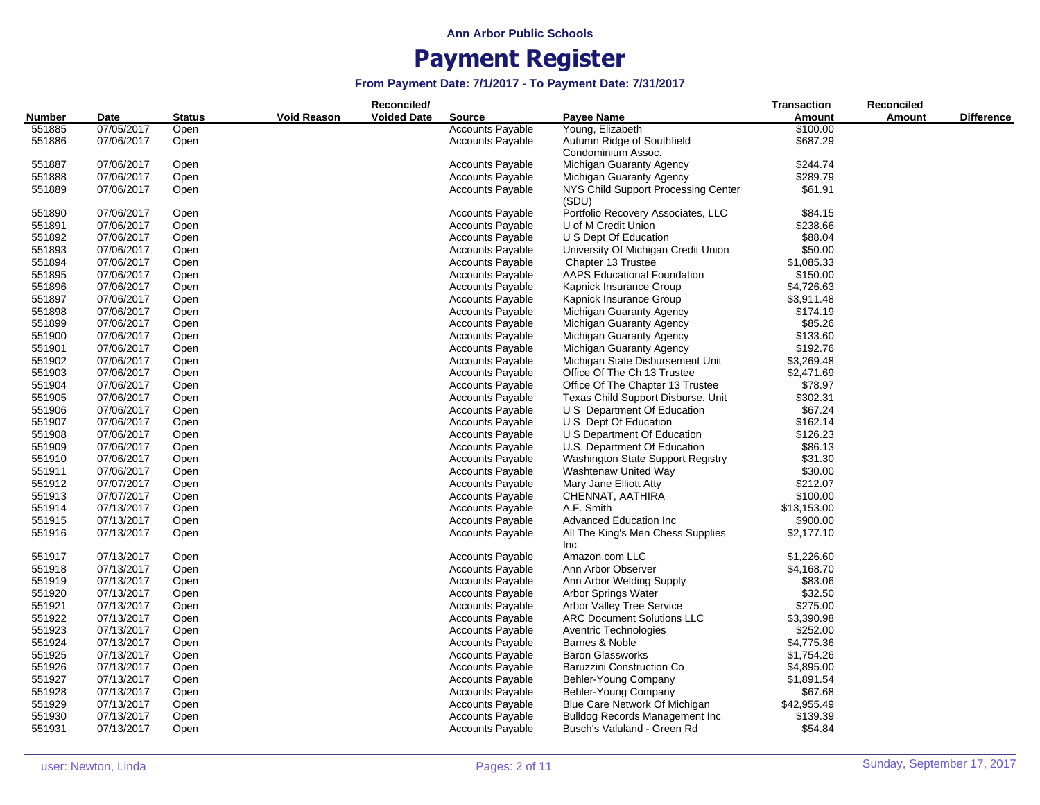|        |            |        |                    | Reconciled/        |                         |                                        | <b>Transaction</b> | Reconciled    |                   |
|--------|------------|--------|--------------------|--------------------|-------------------------|----------------------------------------|--------------------|---------------|-------------------|
| Number | Date       | Status | <b>Void Reason</b> | <b>Voided Date</b> | <b>Source</b>           | Payee Name                             | Amount             | <b>Amount</b> | <b>Difference</b> |
| 551885 | 07/05/2017 | Open   |                    |                    | <b>Accounts Payable</b> | Young, Elizabeth                       | \$100.00           |               |                   |
| 551886 | 07/06/2017 | Open   |                    |                    | <b>Accounts Payable</b> | Autumn Ridge of Southfield             | \$687.29           |               |                   |
|        |            |        |                    |                    |                         | Condominium Assoc.                     |                    |               |                   |
| 551887 | 07/06/2017 | Open   |                    |                    | Accounts Payable        | Michigan Guaranty Agency               | \$244.74           |               |                   |
| 551888 | 07/06/2017 | Open   |                    |                    | <b>Accounts Payable</b> | Michigan Guaranty Agency               | \$289.79           |               |                   |
| 551889 | 07/06/2017 | Open   |                    |                    | <b>Accounts Payable</b> | NYS Child Support Processing Center    | \$61.91            |               |                   |
|        |            |        |                    |                    |                         | (SDU)                                  |                    |               |                   |
| 551890 | 07/06/2017 | Open   |                    |                    | <b>Accounts Payable</b> | Portfolio Recovery Associates, LLC     | \$84.15            |               |                   |
| 551891 | 07/06/2017 | Open   |                    |                    | <b>Accounts Payable</b> | U of M Credit Union                    | \$238.66           |               |                   |
| 551892 | 07/06/2017 | Open   |                    |                    | <b>Accounts Payable</b> | U S Dept Of Education                  | \$88.04            |               |                   |
| 551893 | 07/06/2017 | Open   |                    |                    | <b>Accounts Payable</b> | University Of Michigan Credit Union    | \$50.00            |               |                   |
| 551894 | 07/06/2017 | Open   |                    |                    | Accounts Payable        | Chapter 13 Trustee                     | \$1,085.33         |               |                   |
| 551895 | 07/06/2017 | Open   |                    |                    | <b>Accounts Payable</b> | <b>AAPS Educational Foundation</b>     | \$150.00           |               |                   |
| 551896 | 07/06/2017 | Open   |                    |                    | <b>Accounts Payable</b> | Kapnick Insurance Group                | \$4,726.63         |               |                   |
| 551897 | 07/06/2017 | Open   |                    |                    | <b>Accounts Payable</b> | Kapnick Insurance Group                | \$3,911.48         |               |                   |
| 551898 | 07/06/2017 | Open   |                    |                    | <b>Accounts Payable</b> | Michigan Guaranty Agency               | \$174.19           |               |                   |
| 551899 | 07/06/2017 | Open   |                    |                    | <b>Accounts Payable</b> | Michigan Guaranty Agency               | \$85.26            |               |                   |
| 551900 | 07/06/2017 | Open   |                    |                    | <b>Accounts Payable</b> | Michigan Guaranty Agency               | \$133.60           |               |                   |
| 551901 | 07/06/2017 | Open   |                    |                    | <b>Accounts Payable</b> | Michigan Guaranty Agency               | \$192.76           |               |                   |
| 551902 | 07/06/2017 | Open   |                    |                    | <b>Accounts Payable</b> | Michigan State Disbursement Unit       | \$3,269.48         |               |                   |
| 551903 | 07/06/2017 | Open   |                    |                    | <b>Accounts Payable</b> | Office Of The Ch 13 Trustee            | \$2,471.69         |               |                   |
| 551904 | 07/06/2017 | Open   |                    |                    | <b>Accounts Payable</b> | Office Of The Chapter 13 Trustee       | \$78.97            |               |                   |
| 551905 | 07/06/2017 | Open   |                    |                    | <b>Accounts Payable</b> | Texas Child Support Disburse. Unit     | \$302.31           |               |                   |
| 551906 | 07/06/2017 | Open   |                    |                    | <b>Accounts Payable</b> | U S Department Of Education            | \$67.24            |               |                   |
| 551907 | 07/06/2017 | Open   |                    |                    | <b>Accounts Payable</b> | U S Dept Of Education                  | \$162.14           |               |                   |
| 551908 | 07/06/2017 | Open   |                    |                    | <b>Accounts Payable</b> | U S Department Of Education            | \$126.23           |               |                   |
| 551909 | 07/06/2017 | Open   |                    |                    | <b>Accounts Payable</b> | U.S. Department Of Education           | \$86.13            |               |                   |
| 551910 | 07/06/2017 | Open   |                    |                    | <b>Accounts Payable</b> | Washington State Support Registry      | \$31.30            |               |                   |
| 551911 | 07/06/2017 | Open   |                    |                    | <b>Accounts Payable</b> | Washtenaw United Way                   | \$30.00            |               |                   |
| 551912 | 07/07/2017 | Open   |                    |                    | <b>Accounts Payable</b> | Mary Jane Elliott Atty                 | \$212.07           |               |                   |
| 551913 | 07/07/2017 | Open   |                    |                    | <b>Accounts Payable</b> | CHENNAT, AATHIRA                       | \$100.00           |               |                   |
| 551914 | 07/13/2017 | Open   |                    |                    | <b>Accounts Payable</b> | A.F. Smith                             | \$13,153.00        |               |                   |
| 551915 | 07/13/2017 | Open   |                    |                    | <b>Accounts Payable</b> | <b>Advanced Education Inc.</b>         | \$900.00           |               |                   |
| 551916 | 07/13/2017 | Open   |                    |                    | <b>Accounts Payable</b> | All The King's Men Chess Supplies      | \$2,177.10         |               |                   |
|        |            |        |                    |                    |                         | Inc                                    |                    |               |                   |
| 551917 | 07/13/2017 | Open   |                    |                    | <b>Accounts Payable</b> | Amazon.com LLC                         | \$1,226.60         |               |                   |
| 551918 | 07/13/2017 | Open   |                    |                    | <b>Accounts Payable</b> | Ann Arbor Observer                     | \$4,168.70         |               |                   |
| 551919 | 07/13/2017 | Open   |                    |                    | <b>Accounts Payable</b> | Ann Arbor Welding Supply               | \$83.06            |               |                   |
| 551920 | 07/13/2017 | Open   |                    |                    | <b>Accounts Payable</b> | Arbor Springs Water                    | \$32.50            |               |                   |
| 551921 | 07/13/2017 | Open   |                    |                    | <b>Accounts Payable</b> | <b>Arbor Valley Tree Service</b>       | \$275.00           |               |                   |
| 551922 | 07/13/2017 | Open   |                    |                    | <b>Accounts Payable</b> | <b>ARC Document Solutions LLC</b>      | \$3,390.98         |               |                   |
| 551923 | 07/13/2017 | Open   |                    |                    | <b>Accounts Payable</b> | <b>Aventric Technologies</b>           | \$252.00           |               |                   |
| 551924 | 07/13/2017 | Open   |                    |                    | <b>Accounts Payable</b> | Barnes & Noble                         | \$4,775.36         |               |                   |
| 551925 | 07/13/2017 | Open   |                    |                    | <b>Accounts Payable</b> | <b>Baron Glassworks</b>                | \$1,754.26         |               |                   |
| 551926 | 07/13/2017 | Open   |                    |                    | <b>Accounts Payable</b> | Baruzzini Construction Co              | \$4,895.00         |               |                   |
| 551927 | 07/13/2017 | Open   |                    |                    | <b>Accounts Payable</b> | Behler-Young Company                   | \$1,891.54         |               |                   |
| 551928 | 07/13/2017 | Open   |                    |                    | <b>Accounts Payable</b> | Behler-Young Company                   | \$67.68            |               |                   |
| 551929 | 07/13/2017 | Open   |                    |                    | <b>Accounts Payable</b> | Blue Care Network Of Michigan          | \$42,955.49        |               |                   |
| 551930 | 07/13/2017 | Open   |                    |                    | <b>Accounts Payable</b> | <b>Bulldog Records Management Inc.</b> | \$139.39           |               |                   |
| 551931 | 07/13/2017 | Open   |                    |                    | <b>Accounts Payable</b> | Busch's Valuland - Green Rd            | \$54.84            |               |                   |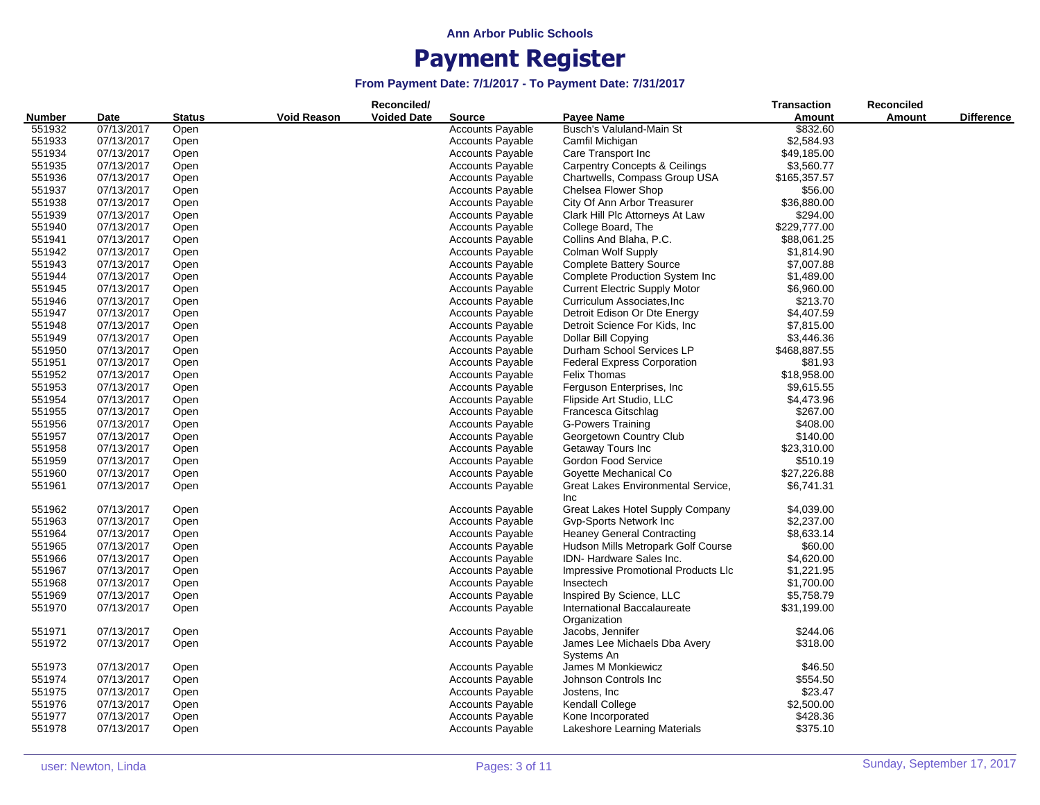| <b>Number</b><br>Date<br><b>Amount</b><br>Amount<br><b>Status</b><br><b>Source</b><br>Busch's Valuland-Main St<br>551932<br>07/13/2017<br>Open<br><b>Accounts Payable</b><br>\$832.60<br>551933<br>07/13/2017<br><b>Accounts Payable</b><br>Camfil Michigan<br>\$2,584.93<br>Open<br>551934<br>\$49,185.00<br>07/13/2017<br><b>Accounts Payable</b><br>Care Transport Inc<br>Open<br>\$3,560.77<br>551935<br>07/13/2017<br><b>Accounts Payable</b><br><b>Carpentry Concepts &amp; Ceilings</b><br>Open<br>551936<br>07/13/2017<br><b>Accounts Payable</b><br>Chartwells, Compass Group USA<br>\$165,357.57<br>Open<br>551937<br>07/13/2017<br><b>Accounts Payable</b><br>Chelsea Flower Shop<br>\$56.00<br>Open<br>551938<br>07/13/2017<br>City Of Ann Arbor Treasurer<br>\$36,880.00<br>Open<br><b>Accounts Payable</b><br>551939<br>07/13/2017<br><b>Accounts Payable</b><br>Clark Hill Plc Attorneys At Law<br>\$294.00<br>Open<br>\$229,777.00<br>551940<br>07/13/2017<br><b>Accounts Payable</b><br>College Board, The<br>Open<br>551941<br>07/13/2017<br><b>Accounts Payable</b><br>Collins And Blaha, P.C.<br>\$88,061.25<br>Open<br>551942<br><b>Accounts Payable</b><br>Colman Wolf Supply<br>07/13/2017<br>Open<br>\$1,814.90<br>551943<br>07/13/2017<br><b>Accounts Payable</b><br><b>Complete Battery Source</b><br>\$7,007.88<br>Open<br>551944<br>07/13/2017<br><b>Accounts Payable</b><br><b>Complete Production System Inc</b><br>\$1,489.00<br>Open<br>551945<br>07/13/2017<br><b>Accounts Payable</b><br><b>Current Electric Supply Motor</b><br>\$6,960.00<br>Open<br>07/13/2017<br>\$213.70<br>551946<br><b>Accounts Payable</b><br>Curriculum Associates, Inc.<br>Open<br>551947<br>07/13/2017<br>Detroit Edison Or Dte Energy<br>\$4,407.59<br><b>Accounts Payable</b><br>Open<br>551948<br>07/13/2017<br><b>Accounts Payable</b><br>Detroit Science For Kids, Inc.<br>\$7,815.00<br>Open<br>551949<br>07/13/2017<br><b>Accounts Payable</b><br>Dollar Bill Copying<br>\$3,446.36<br>Open<br>Durham School Services LP<br>\$468,887.55<br>551950<br>07/13/2017<br>Open<br><b>Accounts Payable</b><br>551951<br>\$81.93<br>07/13/2017<br><b>Accounts Payable</b><br><b>Federal Express Corporation</b><br>Open<br>551952<br><b>Felix Thomas</b><br>\$18,958.00<br>07/13/2017<br><b>Accounts Payable</b><br>Open<br>551953<br>07/13/2017<br><b>Accounts Payable</b><br>Ferguson Enterprises, Inc.<br>\$9,615.55<br>Open<br>551954<br>07/13/2017<br><b>Accounts Payable</b><br>Flipside Art Studio, LLC<br>\$4,473.96<br>Open<br>07/13/2017<br>Francesca Gitschlag<br>\$267.00<br>551955<br><b>Accounts Payable</b><br>Open<br>\$408.00<br>551956<br>07/13/2017<br><b>Accounts Payable</b><br><b>G-Powers Training</b><br>Open<br>551957<br>07/13/2017<br><b>Accounts Payable</b><br>Georgetown Country Club<br>\$140.00<br>Open<br>551958<br>Getaway Tours Inc<br>\$23,310.00<br>07/13/2017<br>Open<br><b>Accounts Payable</b><br>551959<br>07/13/2017<br><b>Accounts Payable</b><br>Gordon Food Service<br>\$510.19<br>Open<br>\$27,226.88<br>551960<br>07/13/2017<br><b>Accounts Payable</b><br>Goyette Mechanical Co<br>Open<br>551961<br>07/13/2017<br><b>Accounts Payable</b><br>Great Lakes Environmental Service,<br>\$6,741.31<br>Open<br><b>Inc</b><br>07/13/2017<br><b>Accounts Payable</b><br>Great Lakes Hotel Supply Company<br>\$4,039.00<br>551962<br>Open<br>551963<br>07/13/2017<br><b>Accounts Payable</b><br>Gvp-Sports Network Inc<br>\$2,237.00<br>Open<br>551964<br><b>Accounts Payable</b><br><b>Heaney General Contracting</b><br>\$8,633.14<br>07/13/2017<br>Open<br>551965<br>07/13/2017<br><b>Accounts Payable</b><br>Hudson Mills Metropark Golf Course<br>\$60.00<br>Open<br>551966<br><b>Accounts Payable</b><br>IDN-Hardware Sales Inc.<br>\$4,620.00<br>07/13/2017<br>Open<br>551967<br>07/13/2017<br><b>Accounts Payable</b><br>Impressive Promotional Products Llc<br>\$1,221.95<br>Open<br>\$1,700.00<br>551968<br>07/13/2017<br><b>Accounts Payable</b><br>Open<br>Insectech<br>551969<br>07/13/2017<br><b>Accounts Payable</b><br>Inspired By Science, LLC<br>\$5,758.79<br>Open<br>07/13/2017<br><b>Accounts Payable</b><br>International Baccalaureate<br>551970<br>\$31,199.00<br>Open<br>Organization<br>551971<br>07/13/2017<br>Open<br><b>Accounts Payable</b><br>Jacobs, Jennifer<br>\$244.06<br>551972<br>\$318.00<br>07/13/2017<br><b>Accounts Payable</b><br>James Lee Michaels Dba Avery<br>Open<br>Systems An<br><b>Accounts Payable</b><br>James M Monkiewicz<br>551973<br>07/13/2017<br>Open<br>\$46.50<br>551974<br>07/13/2017<br>Johnson Controls Inc<br>\$554.50<br><b>Accounts Payable</b><br>Open |        |            |      |             | Reconciled/        |                         |               | <b>Transaction</b> | <b>Reconciled</b> |                   |
|-------------------------------------------------------------------------------------------------------------------------------------------------------------------------------------------------------------------------------------------------------------------------------------------------------------------------------------------------------------------------------------------------------------------------------------------------------------------------------------------------------------------------------------------------------------------------------------------------------------------------------------------------------------------------------------------------------------------------------------------------------------------------------------------------------------------------------------------------------------------------------------------------------------------------------------------------------------------------------------------------------------------------------------------------------------------------------------------------------------------------------------------------------------------------------------------------------------------------------------------------------------------------------------------------------------------------------------------------------------------------------------------------------------------------------------------------------------------------------------------------------------------------------------------------------------------------------------------------------------------------------------------------------------------------------------------------------------------------------------------------------------------------------------------------------------------------------------------------------------------------------------------------------------------------------------------------------------------------------------------------------------------------------------------------------------------------------------------------------------------------------------------------------------------------------------------------------------------------------------------------------------------------------------------------------------------------------------------------------------------------------------------------------------------------------------------------------------------------------------------------------------------------------------------------------------------------------------------------------------------------------------------------------------------------------------------------------------------------------------------------------------------------------------------------------------------------------------------------------------------------------------------------------------------------------------------------------------------------------------------------------------------------------------------------------------------------------------------------------------------------------------------------------------------------------------------------------------------------------------------------------------------------------------------------------------------------------------------------------------------------------------------------------------------------------------------------------------------------------------------------------------------------------------------------------------------------------------------------------------------------------------------------------------------------------------------------------------------------------------------------------------------------------------------------------------------------------------------------------------------------------------------------------------------------------------------------------------------------------------------------------------------------------------------------------------------------------------------------------------------------------------------------------------------------------------------------------------------------------------------------------------------------------------------------------------------------------------------------------------------------------------------------------------------------------------------------------------------------------------------------------------------------------------------------------------------------------------------------------------------------------------------------------------------------------|--------|------------|------|-------------|--------------------|-------------------------|---------------|--------------------|-------------------|-------------------|
|                                                                                                                                                                                                                                                                                                                                                                                                                                                                                                                                                                                                                                                                                                                                                                                                                                                                                                                                                                                                                                                                                                                                                                                                                                                                                                                                                                                                                                                                                                                                                                                                                                                                                                                                                                                                                                                                                                                                                                                                                                                                                                                                                                                                                                                                                                                                                                                                                                                                                                                                                                                                                                                                                                                                                                                                                                                                                                                                                                                                                                                                                                                                                                                                                                                                                                                                                                                                                                                                                                                                                                                                                                                                                                                                                                                                                                                                                                                                                                                                                                                                                                                                                                                                                                                                                                                                                                                                                                                                                                                                                                                                                                                                               |        |            |      | Void Reason | <b>Voided Date</b> |                         | Payee Name    |                    |                   | <b>Difference</b> |
|                                                                                                                                                                                                                                                                                                                                                                                                                                                                                                                                                                                                                                                                                                                                                                                                                                                                                                                                                                                                                                                                                                                                                                                                                                                                                                                                                                                                                                                                                                                                                                                                                                                                                                                                                                                                                                                                                                                                                                                                                                                                                                                                                                                                                                                                                                                                                                                                                                                                                                                                                                                                                                                                                                                                                                                                                                                                                                                                                                                                                                                                                                                                                                                                                                                                                                                                                                                                                                                                                                                                                                                                                                                                                                                                                                                                                                                                                                                                                                                                                                                                                                                                                                                                                                                                                                                                                                                                                                                                                                                                                                                                                                                                               |        |            |      |             |                    |                         |               |                    |                   |                   |
|                                                                                                                                                                                                                                                                                                                                                                                                                                                                                                                                                                                                                                                                                                                                                                                                                                                                                                                                                                                                                                                                                                                                                                                                                                                                                                                                                                                                                                                                                                                                                                                                                                                                                                                                                                                                                                                                                                                                                                                                                                                                                                                                                                                                                                                                                                                                                                                                                                                                                                                                                                                                                                                                                                                                                                                                                                                                                                                                                                                                                                                                                                                                                                                                                                                                                                                                                                                                                                                                                                                                                                                                                                                                                                                                                                                                                                                                                                                                                                                                                                                                                                                                                                                                                                                                                                                                                                                                                                                                                                                                                                                                                                                                               |        |            |      |             |                    |                         |               |                    |                   |                   |
|                                                                                                                                                                                                                                                                                                                                                                                                                                                                                                                                                                                                                                                                                                                                                                                                                                                                                                                                                                                                                                                                                                                                                                                                                                                                                                                                                                                                                                                                                                                                                                                                                                                                                                                                                                                                                                                                                                                                                                                                                                                                                                                                                                                                                                                                                                                                                                                                                                                                                                                                                                                                                                                                                                                                                                                                                                                                                                                                                                                                                                                                                                                                                                                                                                                                                                                                                                                                                                                                                                                                                                                                                                                                                                                                                                                                                                                                                                                                                                                                                                                                                                                                                                                                                                                                                                                                                                                                                                                                                                                                                                                                                                                                               |        |            |      |             |                    |                         |               |                    |                   |                   |
|                                                                                                                                                                                                                                                                                                                                                                                                                                                                                                                                                                                                                                                                                                                                                                                                                                                                                                                                                                                                                                                                                                                                                                                                                                                                                                                                                                                                                                                                                                                                                                                                                                                                                                                                                                                                                                                                                                                                                                                                                                                                                                                                                                                                                                                                                                                                                                                                                                                                                                                                                                                                                                                                                                                                                                                                                                                                                                                                                                                                                                                                                                                                                                                                                                                                                                                                                                                                                                                                                                                                                                                                                                                                                                                                                                                                                                                                                                                                                                                                                                                                                                                                                                                                                                                                                                                                                                                                                                                                                                                                                                                                                                                                               |        |            |      |             |                    |                         |               |                    |                   |                   |
|                                                                                                                                                                                                                                                                                                                                                                                                                                                                                                                                                                                                                                                                                                                                                                                                                                                                                                                                                                                                                                                                                                                                                                                                                                                                                                                                                                                                                                                                                                                                                                                                                                                                                                                                                                                                                                                                                                                                                                                                                                                                                                                                                                                                                                                                                                                                                                                                                                                                                                                                                                                                                                                                                                                                                                                                                                                                                                                                                                                                                                                                                                                                                                                                                                                                                                                                                                                                                                                                                                                                                                                                                                                                                                                                                                                                                                                                                                                                                                                                                                                                                                                                                                                                                                                                                                                                                                                                                                                                                                                                                                                                                                                                               |        |            |      |             |                    |                         |               |                    |                   |                   |
|                                                                                                                                                                                                                                                                                                                                                                                                                                                                                                                                                                                                                                                                                                                                                                                                                                                                                                                                                                                                                                                                                                                                                                                                                                                                                                                                                                                                                                                                                                                                                                                                                                                                                                                                                                                                                                                                                                                                                                                                                                                                                                                                                                                                                                                                                                                                                                                                                                                                                                                                                                                                                                                                                                                                                                                                                                                                                                                                                                                                                                                                                                                                                                                                                                                                                                                                                                                                                                                                                                                                                                                                                                                                                                                                                                                                                                                                                                                                                                                                                                                                                                                                                                                                                                                                                                                                                                                                                                                                                                                                                                                                                                                                               |        |            |      |             |                    |                         |               |                    |                   |                   |
|                                                                                                                                                                                                                                                                                                                                                                                                                                                                                                                                                                                                                                                                                                                                                                                                                                                                                                                                                                                                                                                                                                                                                                                                                                                                                                                                                                                                                                                                                                                                                                                                                                                                                                                                                                                                                                                                                                                                                                                                                                                                                                                                                                                                                                                                                                                                                                                                                                                                                                                                                                                                                                                                                                                                                                                                                                                                                                                                                                                                                                                                                                                                                                                                                                                                                                                                                                                                                                                                                                                                                                                                                                                                                                                                                                                                                                                                                                                                                                                                                                                                                                                                                                                                                                                                                                                                                                                                                                                                                                                                                                                                                                                                               |        |            |      |             |                    |                         |               |                    |                   |                   |
|                                                                                                                                                                                                                                                                                                                                                                                                                                                                                                                                                                                                                                                                                                                                                                                                                                                                                                                                                                                                                                                                                                                                                                                                                                                                                                                                                                                                                                                                                                                                                                                                                                                                                                                                                                                                                                                                                                                                                                                                                                                                                                                                                                                                                                                                                                                                                                                                                                                                                                                                                                                                                                                                                                                                                                                                                                                                                                                                                                                                                                                                                                                                                                                                                                                                                                                                                                                                                                                                                                                                                                                                                                                                                                                                                                                                                                                                                                                                                                                                                                                                                                                                                                                                                                                                                                                                                                                                                                                                                                                                                                                                                                                                               |        |            |      |             |                    |                         |               |                    |                   |                   |
|                                                                                                                                                                                                                                                                                                                                                                                                                                                                                                                                                                                                                                                                                                                                                                                                                                                                                                                                                                                                                                                                                                                                                                                                                                                                                                                                                                                                                                                                                                                                                                                                                                                                                                                                                                                                                                                                                                                                                                                                                                                                                                                                                                                                                                                                                                                                                                                                                                                                                                                                                                                                                                                                                                                                                                                                                                                                                                                                                                                                                                                                                                                                                                                                                                                                                                                                                                                                                                                                                                                                                                                                                                                                                                                                                                                                                                                                                                                                                                                                                                                                                                                                                                                                                                                                                                                                                                                                                                                                                                                                                                                                                                                                               |        |            |      |             |                    |                         |               |                    |                   |                   |
|                                                                                                                                                                                                                                                                                                                                                                                                                                                                                                                                                                                                                                                                                                                                                                                                                                                                                                                                                                                                                                                                                                                                                                                                                                                                                                                                                                                                                                                                                                                                                                                                                                                                                                                                                                                                                                                                                                                                                                                                                                                                                                                                                                                                                                                                                                                                                                                                                                                                                                                                                                                                                                                                                                                                                                                                                                                                                                                                                                                                                                                                                                                                                                                                                                                                                                                                                                                                                                                                                                                                                                                                                                                                                                                                                                                                                                                                                                                                                                                                                                                                                                                                                                                                                                                                                                                                                                                                                                                                                                                                                                                                                                                                               |        |            |      |             |                    |                         |               |                    |                   |                   |
|                                                                                                                                                                                                                                                                                                                                                                                                                                                                                                                                                                                                                                                                                                                                                                                                                                                                                                                                                                                                                                                                                                                                                                                                                                                                                                                                                                                                                                                                                                                                                                                                                                                                                                                                                                                                                                                                                                                                                                                                                                                                                                                                                                                                                                                                                                                                                                                                                                                                                                                                                                                                                                                                                                                                                                                                                                                                                                                                                                                                                                                                                                                                                                                                                                                                                                                                                                                                                                                                                                                                                                                                                                                                                                                                                                                                                                                                                                                                                                                                                                                                                                                                                                                                                                                                                                                                                                                                                                                                                                                                                                                                                                                                               |        |            |      |             |                    |                         |               |                    |                   |                   |
|                                                                                                                                                                                                                                                                                                                                                                                                                                                                                                                                                                                                                                                                                                                                                                                                                                                                                                                                                                                                                                                                                                                                                                                                                                                                                                                                                                                                                                                                                                                                                                                                                                                                                                                                                                                                                                                                                                                                                                                                                                                                                                                                                                                                                                                                                                                                                                                                                                                                                                                                                                                                                                                                                                                                                                                                                                                                                                                                                                                                                                                                                                                                                                                                                                                                                                                                                                                                                                                                                                                                                                                                                                                                                                                                                                                                                                                                                                                                                                                                                                                                                                                                                                                                                                                                                                                                                                                                                                                                                                                                                                                                                                                                               |        |            |      |             |                    |                         |               |                    |                   |                   |
|                                                                                                                                                                                                                                                                                                                                                                                                                                                                                                                                                                                                                                                                                                                                                                                                                                                                                                                                                                                                                                                                                                                                                                                                                                                                                                                                                                                                                                                                                                                                                                                                                                                                                                                                                                                                                                                                                                                                                                                                                                                                                                                                                                                                                                                                                                                                                                                                                                                                                                                                                                                                                                                                                                                                                                                                                                                                                                                                                                                                                                                                                                                                                                                                                                                                                                                                                                                                                                                                                                                                                                                                                                                                                                                                                                                                                                                                                                                                                                                                                                                                                                                                                                                                                                                                                                                                                                                                                                                                                                                                                                                                                                                                               |        |            |      |             |                    |                         |               |                    |                   |                   |
|                                                                                                                                                                                                                                                                                                                                                                                                                                                                                                                                                                                                                                                                                                                                                                                                                                                                                                                                                                                                                                                                                                                                                                                                                                                                                                                                                                                                                                                                                                                                                                                                                                                                                                                                                                                                                                                                                                                                                                                                                                                                                                                                                                                                                                                                                                                                                                                                                                                                                                                                                                                                                                                                                                                                                                                                                                                                                                                                                                                                                                                                                                                                                                                                                                                                                                                                                                                                                                                                                                                                                                                                                                                                                                                                                                                                                                                                                                                                                                                                                                                                                                                                                                                                                                                                                                                                                                                                                                                                                                                                                                                                                                                                               |        |            |      |             |                    |                         |               |                    |                   |                   |
|                                                                                                                                                                                                                                                                                                                                                                                                                                                                                                                                                                                                                                                                                                                                                                                                                                                                                                                                                                                                                                                                                                                                                                                                                                                                                                                                                                                                                                                                                                                                                                                                                                                                                                                                                                                                                                                                                                                                                                                                                                                                                                                                                                                                                                                                                                                                                                                                                                                                                                                                                                                                                                                                                                                                                                                                                                                                                                                                                                                                                                                                                                                                                                                                                                                                                                                                                                                                                                                                                                                                                                                                                                                                                                                                                                                                                                                                                                                                                                                                                                                                                                                                                                                                                                                                                                                                                                                                                                                                                                                                                                                                                                                                               |        |            |      |             |                    |                         |               |                    |                   |                   |
|                                                                                                                                                                                                                                                                                                                                                                                                                                                                                                                                                                                                                                                                                                                                                                                                                                                                                                                                                                                                                                                                                                                                                                                                                                                                                                                                                                                                                                                                                                                                                                                                                                                                                                                                                                                                                                                                                                                                                                                                                                                                                                                                                                                                                                                                                                                                                                                                                                                                                                                                                                                                                                                                                                                                                                                                                                                                                                                                                                                                                                                                                                                                                                                                                                                                                                                                                                                                                                                                                                                                                                                                                                                                                                                                                                                                                                                                                                                                                                                                                                                                                                                                                                                                                                                                                                                                                                                                                                                                                                                                                                                                                                                                               |        |            |      |             |                    |                         |               |                    |                   |                   |
|                                                                                                                                                                                                                                                                                                                                                                                                                                                                                                                                                                                                                                                                                                                                                                                                                                                                                                                                                                                                                                                                                                                                                                                                                                                                                                                                                                                                                                                                                                                                                                                                                                                                                                                                                                                                                                                                                                                                                                                                                                                                                                                                                                                                                                                                                                                                                                                                                                                                                                                                                                                                                                                                                                                                                                                                                                                                                                                                                                                                                                                                                                                                                                                                                                                                                                                                                                                                                                                                                                                                                                                                                                                                                                                                                                                                                                                                                                                                                                                                                                                                                                                                                                                                                                                                                                                                                                                                                                                                                                                                                                                                                                                                               |        |            |      |             |                    |                         |               |                    |                   |                   |
|                                                                                                                                                                                                                                                                                                                                                                                                                                                                                                                                                                                                                                                                                                                                                                                                                                                                                                                                                                                                                                                                                                                                                                                                                                                                                                                                                                                                                                                                                                                                                                                                                                                                                                                                                                                                                                                                                                                                                                                                                                                                                                                                                                                                                                                                                                                                                                                                                                                                                                                                                                                                                                                                                                                                                                                                                                                                                                                                                                                                                                                                                                                                                                                                                                                                                                                                                                                                                                                                                                                                                                                                                                                                                                                                                                                                                                                                                                                                                                                                                                                                                                                                                                                                                                                                                                                                                                                                                                                                                                                                                                                                                                                                               |        |            |      |             |                    |                         |               |                    |                   |                   |
|                                                                                                                                                                                                                                                                                                                                                                                                                                                                                                                                                                                                                                                                                                                                                                                                                                                                                                                                                                                                                                                                                                                                                                                                                                                                                                                                                                                                                                                                                                                                                                                                                                                                                                                                                                                                                                                                                                                                                                                                                                                                                                                                                                                                                                                                                                                                                                                                                                                                                                                                                                                                                                                                                                                                                                                                                                                                                                                                                                                                                                                                                                                                                                                                                                                                                                                                                                                                                                                                                                                                                                                                                                                                                                                                                                                                                                                                                                                                                                                                                                                                                                                                                                                                                                                                                                                                                                                                                                                                                                                                                                                                                                                                               |        |            |      |             |                    |                         |               |                    |                   |                   |
|                                                                                                                                                                                                                                                                                                                                                                                                                                                                                                                                                                                                                                                                                                                                                                                                                                                                                                                                                                                                                                                                                                                                                                                                                                                                                                                                                                                                                                                                                                                                                                                                                                                                                                                                                                                                                                                                                                                                                                                                                                                                                                                                                                                                                                                                                                                                                                                                                                                                                                                                                                                                                                                                                                                                                                                                                                                                                                                                                                                                                                                                                                                                                                                                                                                                                                                                                                                                                                                                                                                                                                                                                                                                                                                                                                                                                                                                                                                                                                                                                                                                                                                                                                                                                                                                                                                                                                                                                                                                                                                                                                                                                                                                               |        |            |      |             |                    |                         |               |                    |                   |                   |
|                                                                                                                                                                                                                                                                                                                                                                                                                                                                                                                                                                                                                                                                                                                                                                                                                                                                                                                                                                                                                                                                                                                                                                                                                                                                                                                                                                                                                                                                                                                                                                                                                                                                                                                                                                                                                                                                                                                                                                                                                                                                                                                                                                                                                                                                                                                                                                                                                                                                                                                                                                                                                                                                                                                                                                                                                                                                                                                                                                                                                                                                                                                                                                                                                                                                                                                                                                                                                                                                                                                                                                                                                                                                                                                                                                                                                                                                                                                                                                                                                                                                                                                                                                                                                                                                                                                                                                                                                                                                                                                                                                                                                                                                               |        |            |      |             |                    |                         |               |                    |                   |                   |
|                                                                                                                                                                                                                                                                                                                                                                                                                                                                                                                                                                                                                                                                                                                                                                                                                                                                                                                                                                                                                                                                                                                                                                                                                                                                                                                                                                                                                                                                                                                                                                                                                                                                                                                                                                                                                                                                                                                                                                                                                                                                                                                                                                                                                                                                                                                                                                                                                                                                                                                                                                                                                                                                                                                                                                                                                                                                                                                                                                                                                                                                                                                                                                                                                                                                                                                                                                                                                                                                                                                                                                                                                                                                                                                                                                                                                                                                                                                                                                                                                                                                                                                                                                                                                                                                                                                                                                                                                                                                                                                                                                                                                                                                               |        |            |      |             |                    |                         |               |                    |                   |                   |
|                                                                                                                                                                                                                                                                                                                                                                                                                                                                                                                                                                                                                                                                                                                                                                                                                                                                                                                                                                                                                                                                                                                                                                                                                                                                                                                                                                                                                                                                                                                                                                                                                                                                                                                                                                                                                                                                                                                                                                                                                                                                                                                                                                                                                                                                                                                                                                                                                                                                                                                                                                                                                                                                                                                                                                                                                                                                                                                                                                                                                                                                                                                                                                                                                                                                                                                                                                                                                                                                                                                                                                                                                                                                                                                                                                                                                                                                                                                                                                                                                                                                                                                                                                                                                                                                                                                                                                                                                                                                                                                                                                                                                                                                               |        |            |      |             |                    |                         |               |                    |                   |                   |
|                                                                                                                                                                                                                                                                                                                                                                                                                                                                                                                                                                                                                                                                                                                                                                                                                                                                                                                                                                                                                                                                                                                                                                                                                                                                                                                                                                                                                                                                                                                                                                                                                                                                                                                                                                                                                                                                                                                                                                                                                                                                                                                                                                                                                                                                                                                                                                                                                                                                                                                                                                                                                                                                                                                                                                                                                                                                                                                                                                                                                                                                                                                                                                                                                                                                                                                                                                                                                                                                                                                                                                                                                                                                                                                                                                                                                                                                                                                                                                                                                                                                                                                                                                                                                                                                                                                                                                                                                                                                                                                                                                                                                                                                               |        |            |      |             |                    |                         |               |                    |                   |                   |
|                                                                                                                                                                                                                                                                                                                                                                                                                                                                                                                                                                                                                                                                                                                                                                                                                                                                                                                                                                                                                                                                                                                                                                                                                                                                                                                                                                                                                                                                                                                                                                                                                                                                                                                                                                                                                                                                                                                                                                                                                                                                                                                                                                                                                                                                                                                                                                                                                                                                                                                                                                                                                                                                                                                                                                                                                                                                                                                                                                                                                                                                                                                                                                                                                                                                                                                                                                                                                                                                                                                                                                                                                                                                                                                                                                                                                                                                                                                                                                                                                                                                                                                                                                                                                                                                                                                                                                                                                                                                                                                                                                                                                                                                               |        |            |      |             |                    |                         |               |                    |                   |                   |
|                                                                                                                                                                                                                                                                                                                                                                                                                                                                                                                                                                                                                                                                                                                                                                                                                                                                                                                                                                                                                                                                                                                                                                                                                                                                                                                                                                                                                                                                                                                                                                                                                                                                                                                                                                                                                                                                                                                                                                                                                                                                                                                                                                                                                                                                                                                                                                                                                                                                                                                                                                                                                                                                                                                                                                                                                                                                                                                                                                                                                                                                                                                                                                                                                                                                                                                                                                                                                                                                                                                                                                                                                                                                                                                                                                                                                                                                                                                                                                                                                                                                                                                                                                                                                                                                                                                                                                                                                                                                                                                                                                                                                                                                               |        |            |      |             |                    |                         |               |                    |                   |                   |
|                                                                                                                                                                                                                                                                                                                                                                                                                                                                                                                                                                                                                                                                                                                                                                                                                                                                                                                                                                                                                                                                                                                                                                                                                                                                                                                                                                                                                                                                                                                                                                                                                                                                                                                                                                                                                                                                                                                                                                                                                                                                                                                                                                                                                                                                                                                                                                                                                                                                                                                                                                                                                                                                                                                                                                                                                                                                                                                                                                                                                                                                                                                                                                                                                                                                                                                                                                                                                                                                                                                                                                                                                                                                                                                                                                                                                                                                                                                                                                                                                                                                                                                                                                                                                                                                                                                                                                                                                                                                                                                                                                                                                                                                               |        |            |      |             |                    |                         |               |                    |                   |                   |
|                                                                                                                                                                                                                                                                                                                                                                                                                                                                                                                                                                                                                                                                                                                                                                                                                                                                                                                                                                                                                                                                                                                                                                                                                                                                                                                                                                                                                                                                                                                                                                                                                                                                                                                                                                                                                                                                                                                                                                                                                                                                                                                                                                                                                                                                                                                                                                                                                                                                                                                                                                                                                                                                                                                                                                                                                                                                                                                                                                                                                                                                                                                                                                                                                                                                                                                                                                                                                                                                                                                                                                                                                                                                                                                                                                                                                                                                                                                                                                                                                                                                                                                                                                                                                                                                                                                                                                                                                                                                                                                                                                                                                                                                               |        |            |      |             |                    |                         |               |                    |                   |                   |
|                                                                                                                                                                                                                                                                                                                                                                                                                                                                                                                                                                                                                                                                                                                                                                                                                                                                                                                                                                                                                                                                                                                                                                                                                                                                                                                                                                                                                                                                                                                                                                                                                                                                                                                                                                                                                                                                                                                                                                                                                                                                                                                                                                                                                                                                                                                                                                                                                                                                                                                                                                                                                                                                                                                                                                                                                                                                                                                                                                                                                                                                                                                                                                                                                                                                                                                                                                                                                                                                                                                                                                                                                                                                                                                                                                                                                                                                                                                                                                                                                                                                                                                                                                                                                                                                                                                                                                                                                                                                                                                                                                                                                                                                               |        |            |      |             |                    |                         |               |                    |                   |                   |
|                                                                                                                                                                                                                                                                                                                                                                                                                                                                                                                                                                                                                                                                                                                                                                                                                                                                                                                                                                                                                                                                                                                                                                                                                                                                                                                                                                                                                                                                                                                                                                                                                                                                                                                                                                                                                                                                                                                                                                                                                                                                                                                                                                                                                                                                                                                                                                                                                                                                                                                                                                                                                                                                                                                                                                                                                                                                                                                                                                                                                                                                                                                                                                                                                                                                                                                                                                                                                                                                                                                                                                                                                                                                                                                                                                                                                                                                                                                                                                                                                                                                                                                                                                                                                                                                                                                                                                                                                                                                                                                                                                                                                                                                               |        |            |      |             |                    |                         |               |                    |                   |                   |
|                                                                                                                                                                                                                                                                                                                                                                                                                                                                                                                                                                                                                                                                                                                                                                                                                                                                                                                                                                                                                                                                                                                                                                                                                                                                                                                                                                                                                                                                                                                                                                                                                                                                                                                                                                                                                                                                                                                                                                                                                                                                                                                                                                                                                                                                                                                                                                                                                                                                                                                                                                                                                                                                                                                                                                                                                                                                                                                                                                                                                                                                                                                                                                                                                                                                                                                                                                                                                                                                                                                                                                                                                                                                                                                                                                                                                                                                                                                                                                                                                                                                                                                                                                                                                                                                                                                                                                                                                                                                                                                                                                                                                                                                               |        |            |      |             |                    |                         |               |                    |                   |                   |
|                                                                                                                                                                                                                                                                                                                                                                                                                                                                                                                                                                                                                                                                                                                                                                                                                                                                                                                                                                                                                                                                                                                                                                                                                                                                                                                                                                                                                                                                                                                                                                                                                                                                                                                                                                                                                                                                                                                                                                                                                                                                                                                                                                                                                                                                                                                                                                                                                                                                                                                                                                                                                                                                                                                                                                                                                                                                                                                                                                                                                                                                                                                                                                                                                                                                                                                                                                                                                                                                                                                                                                                                                                                                                                                                                                                                                                                                                                                                                                                                                                                                                                                                                                                                                                                                                                                                                                                                                                                                                                                                                                                                                                                                               |        |            |      |             |                    |                         |               |                    |                   |                   |
|                                                                                                                                                                                                                                                                                                                                                                                                                                                                                                                                                                                                                                                                                                                                                                                                                                                                                                                                                                                                                                                                                                                                                                                                                                                                                                                                                                                                                                                                                                                                                                                                                                                                                                                                                                                                                                                                                                                                                                                                                                                                                                                                                                                                                                                                                                                                                                                                                                                                                                                                                                                                                                                                                                                                                                                                                                                                                                                                                                                                                                                                                                                                                                                                                                                                                                                                                                                                                                                                                                                                                                                                                                                                                                                                                                                                                                                                                                                                                                                                                                                                                                                                                                                                                                                                                                                                                                                                                                                                                                                                                                                                                                                                               |        |            |      |             |                    |                         |               |                    |                   |                   |
|                                                                                                                                                                                                                                                                                                                                                                                                                                                                                                                                                                                                                                                                                                                                                                                                                                                                                                                                                                                                                                                                                                                                                                                                                                                                                                                                                                                                                                                                                                                                                                                                                                                                                                                                                                                                                                                                                                                                                                                                                                                                                                                                                                                                                                                                                                                                                                                                                                                                                                                                                                                                                                                                                                                                                                                                                                                                                                                                                                                                                                                                                                                                                                                                                                                                                                                                                                                                                                                                                                                                                                                                                                                                                                                                                                                                                                                                                                                                                                                                                                                                                                                                                                                                                                                                                                                                                                                                                                                                                                                                                                                                                                                                               |        |            |      |             |                    |                         |               |                    |                   |                   |
|                                                                                                                                                                                                                                                                                                                                                                                                                                                                                                                                                                                                                                                                                                                                                                                                                                                                                                                                                                                                                                                                                                                                                                                                                                                                                                                                                                                                                                                                                                                                                                                                                                                                                                                                                                                                                                                                                                                                                                                                                                                                                                                                                                                                                                                                                                                                                                                                                                                                                                                                                                                                                                                                                                                                                                                                                                                                                                                                                                                                                                                                                                                                                                                                                                                                                                                                                                                                                                                                                                                                                                                                                                                                                                                                                                                                                                                                                                                                                                                                                                                                                                                                                                                                                                                                                                                                                                                                                                                                                                                                                                                                                                                                               |        |            |      |             |                    |                         |               |                    |                   |                   |
|                                                                                                                                                                                                                                                                                                                                                                                                                                                                                                                                                                                                                                                                                                                                                                                                                                                                                                                                                                                                                                                                                                                                                                                                                                                                                                                                                                                                                                                                                                                                                                                                                                                                                                                                                                                                                                                                                                                                                                                                                                                                                                                                                                                                                                                                                                                                                                                                                                                                                                                                                                                                                                                                                                                                                                                                                                                                                                                                                                                                                                                                                                                                                                                                                                                                                                                                                                                                                                                                                                                                                                                                                                                                                                                                                                                                                                                                                                                                                                                                                                                                                                                                                                                                                                                                                                                                                                                                                                                                                                                                                                                                                                                                               |        |            |      |             |                    |                         |               |                    |                   |                   |
|                                                                                                                                                                                                                                                                                                                                                                                                                                                                                                                                                                                                                                                                                                                                                                                                                                                                                                                                                                                                                                                                                                                                                                                                                                                                                                                                                                                                                                                                                                                                                                                                                                                                                                                                                                                                                                                                                                                                                                                                                                                                                                                                                                                                                                                                                                                                                                                                                                                                                                                                                                                                                                                                                                                                                                                                                                                                                                                                                                                                                                                                                                                                                                                                                                                                                                                                                                                                                                                                                                                                                                                                                                                                                                                                                                                                                                                                                                                                                                                                                                                                                                                                                                                                                                                                                                                                                                                                                                                                                                                                                                                                                                                                               |        |            |      |             |                    |                         |               |                    |                   |                   |
|                                                                                                                                                                                                                                                                                                                                                                                                                                                                                                                                                                                                                                                                                                                                                                                                                                                                                                                                                                                                                                                                                                                                                                                                                                                                                                                                                                                                                                                                                                                                                                                                                                                                                                                                                                                                                                                                                                                                                                                                                                                                                                                                                                                                                                                                                                                                                                                                                                                                                                                                                                                                                                                                                                                                                                                                                                                                                                                                                                                                                                                                                                                                                                                                                                                                                                                                                                                                                                                                                                                                                                                                                                                                                                                                                                                                                                                                                                                                                                                                                                                                                                                                                                                                                                                                                                                                                                                                                                                                                                                                                                                                                                                                               |        |            |      |             |                    |                         |               |                    |                   |                   |
|                                                                                                                                                                                                                                                                                                                                                                                                                                                                                                                                                                                                                                                                                                                                                                                                                                                                                                                                                                                                                                                                                                                                                                                                                                                                                                                                                                                                                                                                                                                                                                                                                                                                                                                                                                                                                                                                                                                                                                                                                                                                                                                                                                                                                                                                                                                                                                                                                                                                                                                                                                                                                                                                                                                                                                                                                                                                                                                                                                                                                                                                                                                                                                                                                                                                                                                                                                                                                                                                                                                                                                                                                                                                                                                                                                                                                                                                                                                                                                                                                                                                                                                                                                                                                                                                                                                                                                                                                                                                                                                                                                                                                                                                               |        |            |      |             |                    |                         |               |                    |                   |                   |
|                                                                                                                                                                                                                                                                                                                                                                                                                                                                                                                                                                                                                                                                                                                                                                                                                                                                                                                                                                                                                                                                                                                                                                                                                                                                                                                                                                                                                                                                                                                                                                                                                                                                                                                                                                                                                                                                                                                                                                                                                                                                                                                                                                                                                                                                                                                                                                                                                                                                                                                                                                                                                                                                                                                                                                                                                                                                                                                                                                                                                                                                                                                                                                                                                                                                                                                                                                                                                                                                                                                                                                                                                                                                                                                                                                                                                                                                                                                                                                                                                                                                                                                                                                                                                                                                                                                                                                                                                                                                                                                                                                                                                                                                               |        |            |      |             |                    |                         |               |                    |                   |                   |
|                                                                                                                                                                                                                                                                                                                                                                                                                                                                                                                                                                                                                                                                                                                                                                                                                                                                                                                                                                                                                                                                                                                                                                                                                                                                                                                                                                                                                                                                                                                                                                                                                                                                                                                                                                                                                                                                                                                                                                                                                                                                                                                                                                                                                                                                                                                                                                                                                                                                                                                                                                                                                                                                                                                                                                                                                                                                                                                                                                                                                                                                                                                                                                                                                                                                                                                                                                                                                                                                                                                                                                                                                                                                                                                                                                                                                                                                                                                                                                                                                                                                                                                                                                                                                                                                                                                                                                                                                                                                                                                                                                                                                                                                               |        |            |      |             |                    |                         |               |                    |                   |                   |
|                                                                                                                                                                                                                                                                                                                                                                                                                                                                                                                                                                                                                                                                                                                                                                                                                                                                                                                                                                                                                                                                                                                                                                                                                                                                                                                                                                                                                                                                                                                                                                                                                                                                                                                                                                                                                                                                                                                                                                                                                                                                                                                                                                                                                                                                                                                                                                                                                                                                                                                                                                                                                                                                                                                                                                                                                                                                                                                                                                                                                                                                                                                                                                                                                                                                                                                                                                                                                                                                                                                                                                                                                                                                                                                                                                                                                                                                                                                                                                                                                                                                                                                                                                                                                                                                                                                                                                                                                                                                                                                                                                                                                                                                               |        |            |      |             |                    |                         |               |                    |                   |                   |
|                                                                                                                                                                                                                                                                                                                                                                                                                                                                                                                                                                                                                                                                                                                                                                                                                                                                                                                                                                                                                                                                                                                                                                                                                                                                                                                                                                                                                                                                                                                                                                                                                                                                                                                                                                                                                                                                                                                                                                                                                                                                                                                                                                                                                                                                                                                                                                                                                                                                                                                                                                                                                                                                                                                                                                                                                                                                                                                                                                                                                                                                                                                                                                                                                                                                                                                                                                                                                                                                                                                                                                                                                                                                                                                                                                                                                                                                                                                                                                                                                                                                                                                                                                                                                                                                                                                                                                                                                                                                                                                                                                                                                                                                               |        |            |      |             |                    |                         |               |                    |                   |                   |
|                                                                                                                                                                                                                                                                                                                                                                                                                                                                                                                                                                                                                                                                                                                                                                                                                                                                                                                                                                                                                                                                                                                                                                                                                                                                                                                                                                                                                                                                                                                                                                                                                                                                                                                                                                                                                                                                                                                                                                                                                                                                                                                                                                                                                                                                                                                                                                                                                                                                                                                                                                                                                                                                                                                                                                                                                                                                                                                                                                                                                                                                                                                                                                                                                                                                                                                                                                                                                                                                                                                                                                                                                                                                                                                                                                                                                                                                                                                                                                                                                                                                                                                                                                                                                                                                                                                                                                                                                                                                                                                                                                                                                                                                               |        |            |      |             |                    |                         |               |                    |                   |                   |
|                                                                                                                                                                                                                                                                                                                                                                                                                                                                                                                                                                                                                                                                                                                                                                                                                                                                                                                                                                                                                                                                                                                                                                                                                                                                                                                                                                                                                                                                                                                                                                                                                                                                                                                                                                                                                                                                                                                                                                                                                                                                                                                                                                                                                                                                                                                                                                                                                                                                                                                                                                                                                                                                                                                                                                                                                                                                                                                                                                                                                                                                                                                                                                                                                                                                                                                                                                                                                                                                                                                                                                                                                                                                                                                                                                                                                                                                                                                                                                                                                                                                                                                                                                                                                                                                                                                                                                                                                                                                                                                                                                                                                                                                               |        |            |      |             |                    |                         |               |                    |                   |                   |
|                                                                                                                                                                                                                                                                                                                                                                                                                                                                                                                                                                                                                                                                                                                                                                                                                                                                                                                                                                                                                                                                                                                                                                                                                                                                                                                                                                                                                                                                                                                                                                                                                                                                                                                                                                                                                                                                                                                                                                                                                                                                                                                                                                                                                                                                                                                                                                                                                                                                                                                                                                                                                                                                                                                                                                                                                                                                                                                                                                                                                                                                                                                                                                                                                                                                                                                                                                                                                                                                                                                                                                                                                                                                                                                                                                                                                                                                                                                                                                                                                                                                                                                                                                                                                                                                                                                                                                                                                                                                                                                                                                                                                                                                               |        |            |      |             |                    |                         |               |                    |                   |                   |
|                                                                                                                                                                                                                                                                                                                                                                                                                                                                                                                                                                                                                                                                                                                                                                                                                                                                                                                                                                                                                                                                                                                                                                                                                                                                                                                                                                                                                                                                                                                                                                                                                                                                                                                                                                                                                                                                                                                                                                                                                                                                                                                                                                                                                                                                                                                                                                                                                                                                                                                                                                                                                                                                                                                                                                                                                                                                                                                                                                                                                                                                                                                                                                                                                                                                                                                                                                                                                                                                                                                                                                                                                                                                                                                                                                                                                                                                                                                                                                                                                                                                                                                                                                                                                                                                                                                                                                                                                                                                                                                                                                                                                                                                               |        |            |      |             |                    |                         |               |                    |                   |                   |
|                                                                                                                                                                                                                                                                                                                                                                                                                                                                                                                                                                                                                                                                                                                                                                                                                                                                                                                                                                                                                                                                                                                                                                                                                                                                                                                                                                                                                                                                                                                                                                                                                                                                                                                                                                                                                                                                                                                                                                                                                                                                                                                                                                                                                                                                                                                                                                                                                                                                                                                                                                                                                                                                                                                                                                                                                                                                                                                                                                                                                                                                                                                                                                                                                                                                                                                                                                                                                                                                                                                                                                                                                                                                                                                                                                                                                                                                                                                                                                                                                                                                                                                                                                                                                                                                                                                                                                                                                                                                                                                                                                                                                                                                               | 551975 | 07/13/2017 | Open |             |                    | <b>Accounts Payable</b> | Jostens, Inc. | \$23.47            |                   |                   |
| 551976<br>07/13/2017<br><b>Accounts Payable</b><br><b>Kendall College</b><br>\$2,500.00<br>Open                                                                                                                                                                                                                                                                                                                                                                                                                                                                                                                                                                                                                                                                                                                                                                                                                                                                                                                                                                                                                                                                                                                                                                                                                                                                                                                                                                                                                                                                                                                                                                                                                                                                                                                                                                                                                                                                                                                                                                                                                                                                                                                                                                                                                                                                                                                                                                                                                                                                                                                                                                                                                                                                                                                                                                                                                                                                                                                                                                                                                                                                                                                                                                                                                                                                                                                                                                                                                                                                                                                                                                                                                                                                                                                                                                                                                                                                                                                                                                                                                                                                                                                                                                                                                                                                                                                                                                                                                                                                                                                                                                               |        |            |      |             |                    |                         |               |                    |                   |                   |
| 551977<br>07/13/2017<br>Open<br><b>Accounts Payable</b><br>Kone Incorporated<br>\$428.36                                                                                                                                                                                                                                                                                                                                                                                                                                                                                                                                                                                                                                                                                                                                                                                                                                                                                                                                                                                                                                                                                                                                                                                                                                                                                                                                                                                                                                                                                                                                                                                                                                                                                                                                                                                                                                                                                                                                                                                                                                                                                                                                                                                                                                                                                                                                                                                                                                                                                                                                                                                                                                                                                                                                                                                                                                                                                                                                                                                                                                                                                                                                                                                                                                                                                                                                                                                                                                                                                                                                                                                                                                                                                                                                                                                                                                                                                                                                                                                                                                                                                                                                                                                                                                                                                                                                                                                                                                                                                                                                                                                      |        |            |      |             |                    |                         |               |                    |                   |                   |
| 551978<br>\$375.10<br>07/13/2017<br><b>Accounts Payable</b><br>Lakeshore Learning Materials<br>Open                                                                                                                                                                                                                                                                                                                                                                                                                                                                                                                                                                                                                                                                                                                                                                                                                                                                                                                                                                                                                                                                                                                                                                                                                                                                                                                                                                                                                                                                                                                                                                                                                                                                                                                                                                                                                                                                                                                                                                                                                                                                                                                                                                                                                                                                                                                                                                                                                                                                                                                                                                                                                                                                                                                                                                                                                                                                                                                                                                                                                                                                                                                                                                                                                                                                                                                                                                                                                                                                                                                                                                                                                                                                                                                                                                                                                                                                                                                                                                                                                                                                                                                                                                                                                                                                                                                                                                                                                                                                                                                                                                           |        |            |      |             |                    |                         |               |                    |                   |                   |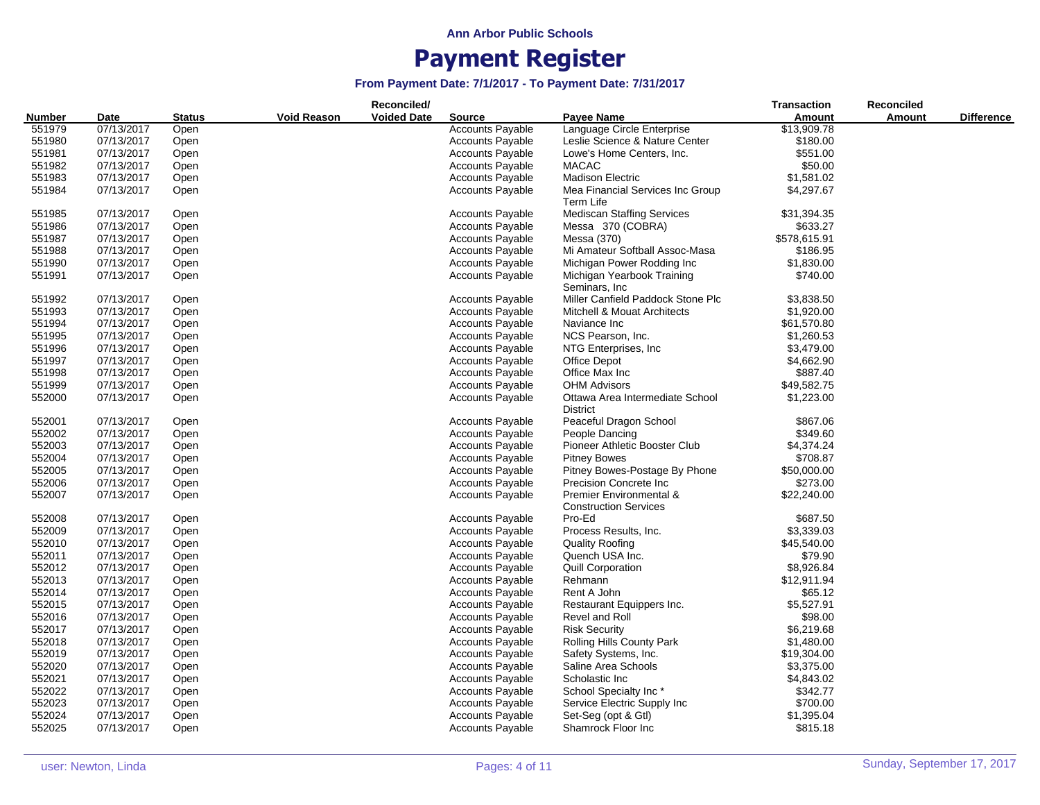|                       |            | Reconciled/<br><b>Source</b> |                                          |  |                         |                                                         |              | Reconciled    |                   |
|-----------------------|------------|------------------------------|------------------------------------------|--|-------------------------|---------------------------------------------------------|--------------|---------------|-------------------|
| <b>Number</b><br>Date |            | <b>Status</b>                | <b>Voided Date</b><br><b>Void Reason</b> |  |                         | <b>Payee Name</b>                                       | Amount       | <b>Amount</b> | <b>Difference</b> |
| 551979                | 07/13/2017 | Open                         |                                          |  | <b>Accounts Payable</b> | Language Circle Enterprise                              | \$13,909.78  |               |                   |
| 551980                | 07/13/2017 | Open                         |                                          |  | <b>Accounts Payable</b> | Leslie Science & Nature Center                          | \$180.00     |               |                   |
| 551981                | 07/13/2017 | Open                         |                                          |  | <b>Accounts Payable</b> | Lowe's Home Centers, Inc.                               | \$551.00     |               |                   |
| 551982                | 07/13/2017 | Open                         |                                          |  | <b>Accounts Payable</b> | <b>MACAC</b>                                            | \$50.00      |               |                   |
| 551983                | 07/13/2017 | Open                         |                                          |  | <b>Accounts Payable</b> | <b>Madison Electric</b>                                 | \$1,581.02   |               |                   |
| 551984                | 07/13/2017 | Open                         |                                          |  | <b>Accounts Payable</b> | Mea Financial Services Inc Group                        | \$4,297.67   |               |                   |
|                       |            |                              |                                          |  |                         | Term Life                                               |              |               |                   |
| 551985                | 07/13/2017 | Open                         |                                          |  | <b>Accounts Payable</b> | <b>Mediscan Staffing Services</b>                       | \$31,394.35  |               |                   |
| 551986                | 07/13/2017 | Open                         |                                          |  | <b>Accounts Payable</b> | Messa 370 (COBRA)                                       | \$633.27     |               |                   |
| 551987                | 07/13/2017 | Open                         |                                          |  | <b>Accounts Payable</b> | Messa (370)                                             | \$578,615.91 |               |                   |
| 551988                | 07/13/2017 | Open                         |                                          |  | <b>Accounts Payable</b> | Mi Amateur Softball Assoc-Masa                          | \$186.95     |               |                   |
| 551990                | 07/13/2017 | Open                         |                                          |  | <b>Accounts Payable</b> | Michigan Power Rodding Inc                              | \$1,830.00   |               |                   |
| 551991                | 07/13/2017 | Open                         |                                          |  | <b>Accounts Payable</b> | Michigan Yearbook Training<br>Seminars, Inc.            | \$740.00     |               |                   |
| 551992                | 07/13/2017 | Open                         |                                          |  | <b>Accounts Payable</b> | Miller Canfield Paddock Stone Plc                       | \$3,838.50   |               |                   |
| 551993                | 07/13/2017 | Open                         |                                          |  | <b>Accounts Payable</b> | <b>Mitchell &amp; Mouat Architects</b>                  | \$1,920.00   |               |                   |
| 551994                | 07/13/2017 | Open                         |                                          |  | <b>Accounts Payable</b> | Naviance Inc                                            | \$61,570.80  |               |                   |
| 551995                | 07/13/2017 | Open                         |                                          |  | <b>Accounts Payable</b> | NCS Pearson, Inc.                                       | \$1,260.53   |               |                   |
| 551996                | 07/13/2017 | Open                         |                                          |  | <b>Accounts Payable</b> | NTG Enterprises, Inc                                    | \$3,479.00   |               |                   |
| 551997                | 07/13/2017 | Open                         |                                          |  | <b>Accounts Payable</b> | Office Depot                                            | \$4,662.90   |               |                   |
| 551998                |            |                              |                                          |  |                         | Office Max Inc                                          | \$887.40     |               |                   |
|                       | 07/13/2017 | Open                         |                                          |  | <b>Accounts Payable</b> |                                                         |              |               |                   |
| 551999                | 07/13/2017 | Open                         |                                          |  | <b>Accounts Payable</b> | <b>OHM Advisors</b>                                     | \$49,582.75  |               |                   |
| 552000                | 07/13/2017 | Open                         |                                          |  | <b>Accounts Payable</b> | Ottawa Area Intermediate School<br><b>District</b>      | \$1,223.00   |               |                   |
| 552001                | 07/13/2017 | Open                         |                                          |  | <b>Accounts Payable</b> | Peaceful Dragon School                                  | \$867.06     |               |                   |
| 552002                | 07/13/2017 | Open                         |                                          |  | <b>Accounts Payable</b> | People Dancing                                          | \$349.60     |               |                   |
| 552003                | 07/13/2017 | Open                         |                                          |  | Accounts Payable        | Pioneer Athletic Booster Club                           | \$4,374.24   |               |                   |
| 552004                | 07/13/2017 | Open                         |                                          |  | <b>Accounts Payable</b> | <b>Pitney Bowes</b>                                     | \$708.87     |               |                   |
| 552005                | 07/13/2017 | Open                         |                                          |  | <b>Accounts Payable</b> | Pitney Bowes-Postage By Phone                           | \$50,000.00  |               |                   |
| 552006                | 07/13/2017 | Open                         |                                          |  | <b>Accounts Payable</b> | Precision Concrete Inc.                                 | \$273.00     |               |                   |
| 552007                | 07/13/2017 | Open                         |                                          |  | <b>Accounts Payable</b> | Premier Environmental &<br><b>Construction Services</b> | \$22,240.00  |               |                   |
| 552008                | 07/13/2017 | Open                         |                                          |  | <b>Accounts Payable</b> | Pro-Ed                                                  | \$687.50     |               |                   |
| 552009                | 07/13/2017 | Open                         |                                          |  | <b>Accounts Payable</b> | Process Results, Inc.                                   | \$3,339.03   |               |                   |
| 552010                | 07/13/2017 | Open                         |                                          |  | <b>Accounts Payable</b> | <b>Quality Roofing</b>                                  | \$45,540.00  |               |                   |
| 552011                | 07/13/2017 | Open                         |                                          |  | <b>Accounts Payable</b> | Quench USA Inc.                                         | \$79.90      |               |                   |
| 552012                | 07/13/2017 | Open                         |                                          |  | <b>Accounts Payable</b> | <b>Quill Corporation</b>                                | \$8,926.84   |               |                   |
| 552013                | 07/13/2017 | Open                         |                                          |  | Accounts Payable        | Rehmann                                                 | \$12,911.94  |               |                   |
| 552014                | 07/13/2017 | Open                         |                                          |  | <b>Accounts Payable</b> | Rent A John                                             | \$65.12      |               |                   |
|                       |            |                              |                                          |  |                         |                                                         |              |               |                   |
| 552015                | 07/13/2017 | Open                         |                                          |  | <b>Accounts Payable</b> | Restaurant Equippers Inc.                               | \$5,527.91   |               |                   |
| 552016                | 07/13/2017 | Open                         |                                          |  | <b>Accounts Payable</b> | Revel and Roll                                          | \$98.00      |               |                   |
| 552017                | 07/13/2017 | Open                         |                                          |  | <b>Accounts Payable</b> | <b>Risk Security</b>                                    | \$6,219.68   |               |                   |
| 552018                | 07/13/2017 | Open                         |                                          |  | <b>Accounts Payable</b> | Rolling Hills County Park                               | \$1,480.00   |               |                   |
| 552019                | 07/13/2017 | Open                         |                                          |  | <b>Accounts Payable</b> | Safety Systems, Inc.                                    | \$19,304.00  |               |                   |
| 552020                | 07/13/2017 | Open                         |                                          |  | <b>Accounts Payable</b> | Saline Area Schools                                     | \$3,375.00   |               |                   |
| 552021                | 07/13/2017 | Open                         |                                          |  | <b>Accounts Payable</b> | Scholastic Inc                                          | \$4,843.02   |               |                   |
| 552022                | 07/13/2017 | Open                         |                                          |  | <b>Accounts Payable</b> | School Specialty Inc*                                   | \$342.77     |               |                   |
| 552023                | 07/13/2017 | Open                         |                                          |  | <b>Accounts Payable</b> | Service Electric Supply Inc                             | \$700.00     |               |                   |
| 552024                | 07/13/2017 | Open                         |                                          |  | <b>Accounts Payable</b> | Set-Seg (opt & Gtl)                                     | \$1,395.04   |               |                   |
| 552025                | 07/13/2017 | Open                         |                                          |  | <b>Accounts Payable</b> | Shamrock Floor Inc                                      | \$815.18     |               |                   |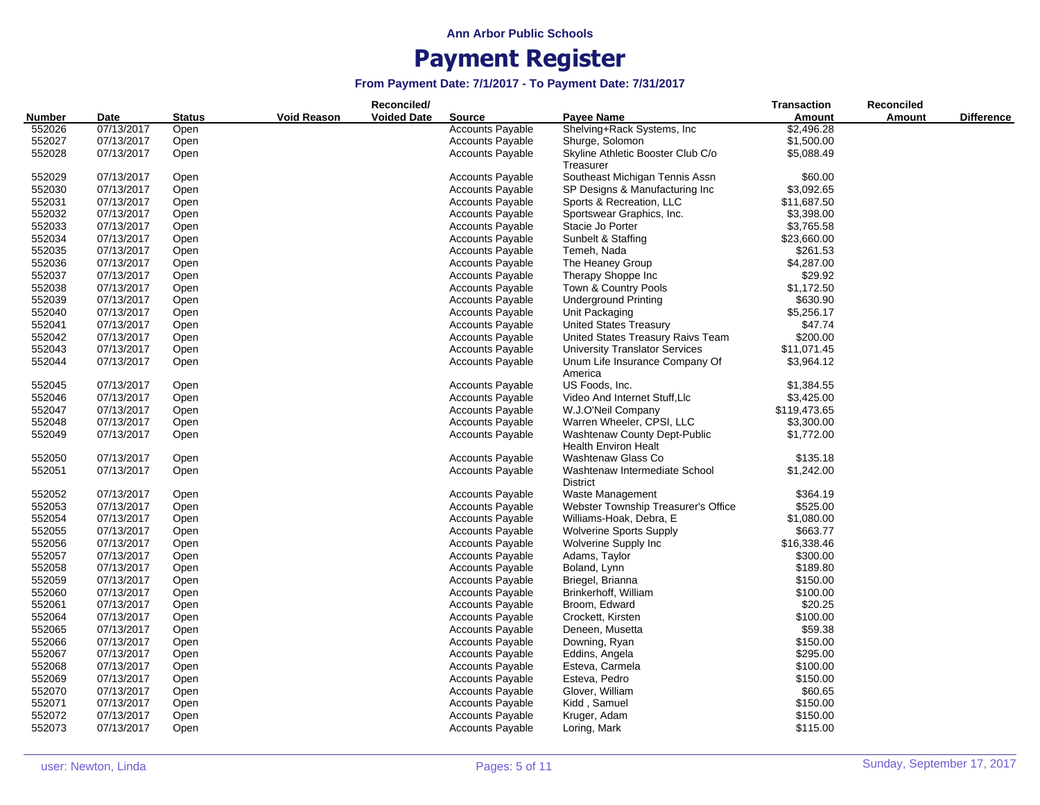|                       |            |                                     |  | Reconciled/        |                         |                                                             | <b>Transaction</b> | <b>Reconciled</b> |                   |
|-----------------------|------------|-------------------------------------|--|--------------------|-------------------------|-------------------------------------------------------------|--------------------|-------------------|-------------------|
| <b>Number</b><br>Date |            | <b>Void Reason</b><br><b>Status</b> |  | <b>Voided Date</b> | <b>Source</b>           | Payee Name                                                  | <b>Amount</b>      | Amount            | <b>Difference</b> |
| 552026                | 07/13/2017 | Open                                |  |                    | <b>Accounts Payable</b> | Shelving+Rack Systems, Inc.                                 | \$2,496.28         |                   |                   |
| 552027                | 07/13/2017 | Open                                |  |                    | <b>Accounts Payable</b> | Shurge, Solomon                                             | \$1,500.00         |                   |                   |
| 552028                | 07/13/2017 | Open                                |  |                    | <b>Accounts Payable</b> | Skyline Athletic Booster Club C/o                           | \$5,088.49         |                   |                   |
|                       |            |                                     |  |                    |                         | Treasurer                                                   |                    |                   |                   |
| 552029                | 07/13/2017 | Open                                |  |                    | <b>Accounts Payable</b> | Southeast Michigan Tennis Assn                              | \$60.00            |                   |                   |
| 552030                | 07/13/2017 | Open                                |  |                    | <b>Accounts Payable</b> | SP Designs & Manufacturing Inc                              | \$3,092.65         |                   |                   |
| 552031                | 07/13/2017 | Open                                |  |                    | <b>Accounts Payable</b> | Sports & Recreation, LLC                                    | \$11,687.50        |                   |                   |
| 552032                | 07/13/2017 | Open                                |  |                    | <b>Accounts Payable</b> | Sportswear Graphics, Inc.                                   | \$3,398.00         |                   |                   |
| 552033                | 07/13/2017 | Open                                |  |                    | <b>Accounts Payable</b> | Stacie Jo Porter                                            | \$3,765.58         |                   |                   |
| 552034                | 07/13/2017 | Open                                |  |                    | <b>Accounts Payable</b> | Sunbelt & Staffing                                          | \$23,660.00        |                   |                   |
| 552035                | 07/13/2017 | Open                                |  |                    | <b>Accounts Payable</b> | Temeh, Nada                                                 | \$261.53           |                   |                   |
| 552036                | 07/13/2017 | Open                                |  |                    | <b>Accounts Payable</b> | The Heaney Group                                            | \$4,287.00         |                   |                   |
| 552037                | 07/13/2017 | Open                                |  |                    | <b>Accounts Payable</b> | Therapy Shoppe Inc                                          | \$29.92            |                   |                   |
| 552038                | 07/13/2017 | Open                                |  |                    | <b>Accounts Payable</b> | Town & Country Pools                                        | \$1,172.50         |                   |                   |
| 552039                | 07/13/2017 | Open                                |  |                    | <b>Accounts Payable</b> | <b>Underground Printing</b>                                 | \$630.90           |                   |                   |
| 552040                | 07/13/2017 | Open                                |  |                    | <b>Accounts Payable</b> | Unit Packaging                                              | \$5,256.17         |                   |                   |
| 552041                | 07/13/2017 | Open                                |  |                    | <b>Accounts Payable</b> | <b>United States Treasury</b>                               | \$47.74            |                   |                   |
| 552042                | 07/13/2017 | Open                                |  |                    | Accounts Payable        | United States Treasury Raivs Team                           | \$200.00           |                   |                   |
| 552043                | 07/13/2017 |                                     |  |                    |                         |                                                             | \$11,071.45        |                   |                   |
|                       |            | Open                                |  |                    | <b>Accounts Payable</b> | <b>University Translator Services</b>                       |                    |                   |                   |
| 552044                | 07/13/2017 | Open                                |  |                    | <b>Accounts Payable</b> | Unum Life Insurance Company Of                              | \$3,964.12         |                   |                   |
| 552045                | 07/13/2017 |                                     |  |                    | <b>Accounts Payable</b> | America<br>US Foods, Inc.                                   | \$1,384.55         |                   |                   |
|                       |            | Open                                |  |                    |                         |                                                             | \$3,425.00         |                   |                   |
| 552046                | 07/13/2017 | Open                                |  |                    | <b>Accounts Payable</b> | Video And Internet Stuff, Llc                               |                    |                   |                   |
| 552047                | 07/13/2017 | Open                                |  |                    | <b>Accounts Payable</b> | W.J.O'Neil Company                                          | \$119,473.65       |                   |                   |
| 552048                | 07/13/2017 | Open                                |  |                    | <b>Accounts Payable</b> | Warren Wheeler, CPSI, LLC                                   | \$3,300.00         |                   |                   |
| 552049                | 07/13/2017 | Open                                |  |                    | <b>Accounts Payable</b> | Washtenaw County Dept-Public<br><b>Health Environ Healt</b> | \$1,772.00         |                   |                   |
| 552050                | 07/13/2017 | Open                                |  |                    | Accounts Payable        | Washtenaw Glass Co                                          | \$135.18           |                   |                   |
| 552051                | 07/13/2017 | Open                                |  |                    | <b>Accounts Payable</b> | Washtenaw Intermediate School<br><b>District</b>            | \$1,242.00         |                   |                   |
| 552052                | 07/13/2017 | Open                                |  |                    | <b>Accounts Payable</b> | Waste Management                                            | \$364.19           |                   |                   |
| 552053                | 07/13/2017 | Open                                |  |                    | <b>Accounts Payable</b> | Webster Township Treasurer's Office                         | \$525.00           |                   |                   |
| 552054                | 07/13/2017 | Open                                |  |                    | <b>Accounts Payable</b> | Williams-Hoak, Debra, E                                     | \$1,080.00         |                   |                   |
| 552055                | 07/13/2017 | Open                                |  |                    | <b>Accounts Payable</b> | <b>Wolverine Sports Supply</b>                              | \$663.77           |                   |                   |
| 552056                | 07/13/2017 | Open                                |  |                    | <b>Accounts Payable</b> | Wolverine Supply Inc                                        | \$16,338.46        |                   |                   |
| 552057                | 07/13/2017 | Open                                |  |                    | <b>Accounts Payable</b> | Adams, Taylor                                               | \$300.00           |                   |                   |
| 552058                | 07/13/2017 | Open                                |  |                    | <b>Accounts Payable</b> | Boland, Lynn                                                | \$189.80           |                   |                   |
| 552059                | 07/13/2017 | Open                                |  |                    | <b>Accounts Payable</b> | Briegel, Brianna                                            | \$150.00           |                   |                   |
| 552060                | 07/13/2017 | Open                                |  |                    | <b>Accounts Payable</b> | Brinkerhoff, William                                        | \$100.00           |                   |                   |
| 552061                | 07/13/2017 | Open                                |  |                    | <b>Accounts Payable</b> | Broom, Edward                                               | \$20.25            |                   |                   |
| 552064                | 07/13/2017 | Open                                |  |                    | <b>Accounts Payable</b> | Crockett, Kirsten                                           | \$100.00           |                   |                   |
| 552065                | 07/13/2017 | Open                                |  |                    | <b>Accounts Payable</b> | Deneen, Musetta                                             | \$59.38            |                   |                   |
| 552066                | 07/13/2017 | Open                                |  |                    | <b>Accounts Payable</b> | Downing, Ryan                                               | \$150.00           |                   |                   |
| 552067                | 07/13/2017 | Open                                |  |                    | <b>Accounts Payable</b> | Eddins, Angela                                              | \$295.00           |                   |                   |
| 552068                | 07/13/2017 | Open                                |  |                    | <b>Accounts Payable</b> | Esteva, Carmela                                             | \$100.00           |                   |                   |
| 552069                | 07/13/2017 | Open                                |  |                    | <b>Accounts Payable</b> | Esteva, Pedro                                               | \$150.00           |                   |                   |
| 552070                | 07/13/2017 | Open                                |  |                    | <b>Accounts Payable</b> | Glover, William                                             | \$60.65            |                   |                   |
| 552071                | 07/13/2017 | Open                                |  |                    | <b>Accounts Payable</b> | Kidd, Samuel                                                | \$150.00           |                   |                   |
| 552072                | 07/13/2017 | Open                                |  |                    | <b>Accounts Payable</b> | Kruger, Adam                                                | \$150.00           |                   |                   |
| 552073                | 07/13/2017 | Open                                |  |                    | <b>Accounts Payable</b> | Loring, Mark                                                | \$115.00           |                   |                   |
|                       |            |                                     |  |                    |                         |                                                             |                    |                   |                   |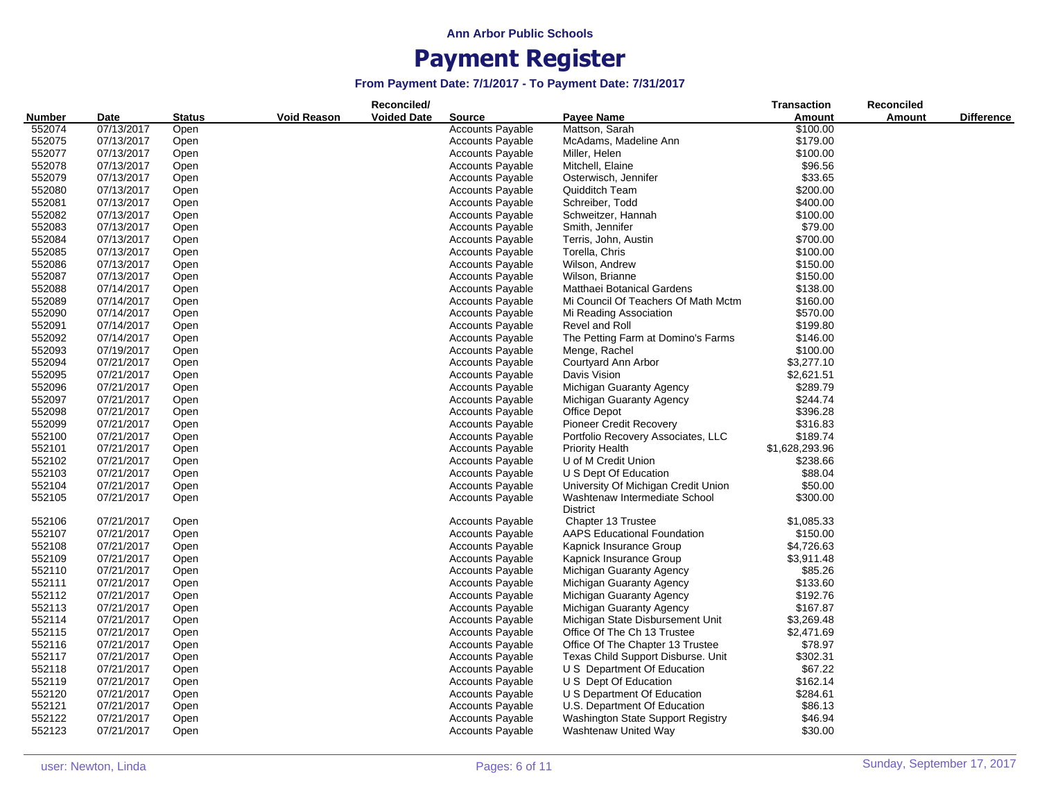|               |            |               |                    | Reconciled/        |                         |                                     | <b>Transaction</b> | Reconciled    |                   |
|---------------|------------|---------------|--------------------|--------------------|-------------------------|-------------------------------------|--------------------|---------------|-------------------|
| <b>Number</b> | Date       | <b>Status</b> | <b>Void Reason</b> | <b>Voided Date</b> | <b>Source</b>           | Payee Name                          | Amount             | <b>Amount</b> | <b>Difference</b> |
| 552074        | 07/13/2017 | Open          |                    |                    | <b>Accounts Payable</b> | Mattson, Sarah                      | \$100.00           |               |                   |
| 552075        | 07/13/2017 | Open          |                    |                    | <b>Accounts Payable</b> | McAdams, Madeline Ann               | \$179.00           |               |                   |
| 552077        | 07/13/2017 | Open          |                    |                    | <b>Accounts Payable</b> | Miller, Helen                       | \$100.00           |               |                   |
| 552078        | 07/13/2017 | Open          |                    |                    | <b>Accounts Payable</b> | Mitchell, Elaine                    | \$96.56            |               |                   |
| 552079        | 07/13/2017 | Open          |                    |                    | <b>Accounts Payable</b> | Osterwisch, Jennifer                | \$33.65            |               |                   |
| 552080        | 07/13/2017 | Open          |                    |                    | <b>Accounts Payable</b> | Quidditch Team                      | \$200.00           |               |                   |
| 552081        | 07/13/2017 | Open          |                    |                    | <b>Accounts Payable</b> | Schreiber, Todd                     | \$400.00           |               |                   |
| 552082        | 07/13/2017 | Open          |                    |                    | <b>Accounts Payable</b> | Schweitzer, Hannah                  | \$100.00           |               |                   |
| 552083        | 07/13/2017 | Open          |                    |                    | <b>Accounts Payable</b> | Smith, Jennifer                     | \$79.00            |               |                   |
| 552084        | 07/13/2017 | Open          |                    |                    | <b>Accounts Payable</b> | Terris, John, Austin                | \$700.00           |               |                   |
| 552085        | 07/13/2017 | Open          |                    |                    | <b>Accounts Payable</b> | Torella, Chris                      | \$100.00           |               |                   |
| 552086        | 07/13/2017 | Open          |                    |                    | <b>Accounts Payable</b> | Wilson, Andrew                      | \$150.00           |               |                   |
| 552087        | 07/13/2017 | Open          |                    |                    | <b>Accounts Payable</b> | Wilson, Brianne                     | \$150.00           |               |                   |
| 552088        | 07/14/2017 | Open          |                    |                    | Accounts Payable        | Matthaei Botanical Gardens          | \$138.00           |               |                   |
| 552089        | 07/14/2017 | Open          |                    |                    | <b>Accounts Payable</b> | Mi Council Of Teachers Of Math Mctm | \$160.00           |               |                   |
| 552090        | 07/14/2017 | Open          |                    |                    | <b>Accounts Payable</b> | Mi Reading Association              | \$570.00           |               |                   |
| 552091        | 07/14/2017 | Open          |                    |                    | <b>Accounts Payable</b> | Revel and Roll                      | \$199.80           |               |                   |
| 552092        | 07/14/2017 | Open          |                    |                    | <b>Accounts Payable</b> | The Petting Farm at Domino's Farms  | \$146.00           |               |                   |
| 552093        | 07/19/2017 | Open          |                    |                    | <b>Accounts Payable</b> | Menge, Rachel                       | \$100.00           |               |                   |
| 552094        | 07/21/2017 | Open          |                    |                    | <b>Accounts Payable</b> | Courtyard Ann Arbor                 | \$3,277.10         |               |                   |
| 552095        | 07/21/2017 | Open          |                    |                    | <b>Accounts Payable</b> | Davis Vision                        | \$2,621.51         |               |                   |
| 552096        | 07/21/2017 | Open          |                    |                    | <b>Accounts Payable</b> | Michigan Guaranty Agency            | \$289.79           |               |                   |
| 552097        | 07/21/2017 | Open          |                    |                    | <b>Accounts Payable</b> | Michigan Guaranty Agency            | \$244.74           |               |                   |
| 552098        | 07/21/2017 | Open          |                    |                    | <b>Accounts Payable</b> | Office Depot                        | \$396.28           |               |                   |
| 552099        | 07/21/2017 | Open          |                    |                    | <b>Accounts Payable</b> | <b>Pioneer Credit Recovery</b>      | \$316.83           |               |                   |
| 552100        | 07/21/2017 | Open          |                    |                    | <b>Accounts Payable</b> | Portfolio Recovery Associates, LLC  | \$189.74           |               |                   |
| 552101        | 07/21/2017 | Open          |                    |                    | Accounts Payable        | <b>Priority Health</b>              | \$1,628,293.96     |               |                   |
| 552102        | 07/21/2017 | Open          |                    |                    | <b>Accounts Payable</b> | U of M Credit Union                 | \$238.66           |               |                   |
| 552103        | 07/21/2017 | Open          |                    |                    | <b>Accounts Payable</b> | U S Dept Of Education               | \$88.04            |               |                   |
| 552104        | 07/21/2017 | Open          |                    |                    | <b>Accounts Payable</b> | University Of Michigan Credit Union | \$50.00            |               |                   |
| 552105        | 07/21/2017 | Open          |                    |                    | <b>Accounts Payable</b> | Washtenaw Intermediate School       | \$300.00           |               |                   |
|               |            |               |                    |                    |                         | <b>District</b>                     |                    |               |                   |
| 552106        | 07/21/2017 | Open          |                    |                    | <b>Accounts Payable</b> | Chapter 13 Trustee                  | \$1,085.33         |               |                   |
| 552107        | 07/21/2017 | Open          |                    |                    | Accounts Payable        | <b>AAPS Educational Foundation</b>  | \$150.00           |               |                   |
| 552108        | 07/21/2017 | Open          |                    |                    | <b>Accounts Payable</b> | Kapnick Insurance Group             | \$4,726.63         |               |                   |
| 552109        | 07/21/2017 | Open          |                    |                    | <b>Accounts Payable</b> | Kapnick Insurance Group             | \$3,911.48         |               |                   |
| 552110        | 07/21/2017 | Open          |                    |                    | <b>Accounts Payable</b> | Michigan Guaranty Agency            | \$85.26            |               |                   |
| 552111        | 07/21/2017 | Open          |                    |                    | <b>Accounts Payable</b> | Michigan Guaranty Agency            | \$133.60           |               |                   |
| 552112        | 07/21/2017 | Open          |                    |                    | <b>Accounts Payable</b> | Michigan Guaranty Agency            | \$192.76           |               |                   |
| 552113        | 07/21/2017 | Open          |                    |                    | <b>Accounts Payable</b> | Michigan Guaranty Agency            | \$167.87           |               |                   |
| 552114        | 07/21/2017 | Open          |                    |                    | <b>Accounts Payable</b> | Michigan State Disbursement Unit    | \$3,269.48         |               |                   |
| 552115        | 07/21/2017 | Open          |                    |                    | <b>Accounts Payable</b> | Office Of The Ch 13 Trustee         | \$2,471.69         |               |                   |
| 552116        | 07/21/2017 | Open          |                    |                    | <b>Accounts Payable</b> | Office Of The Chapter 13 Trustee    | \$78.97            |               |                   |
| 552117        | 07/21/2017 | Open          |                    |                    | <b>Accounts Payable</b> | Texas Child Support Disburse. Unit  | \$302.31           |               |                   |
| 552118        | 07/21/2017 | Open          |                    |                    | <b>Accounts Payable</b> | U S Department Of Education         | \$67.22            |               |                   |
| 552119        | 07/21/2017 | Open          |                    |                    | <b>Accounts Payable</b> | U S Dept Of Education               | \$162.14           |               |                   |
| 552120        | 07/21/2017 | Open          |                    |                    | <b>Accounts Payable</b> | U S Department Of Education         | \$284.61           |               |                   |
| 552121        | 07/21/2017 | Open          |                    |                    | <b>Accounts Payable</b> | U.S. Department Of Education        | \$86.13            |               |                   |
| 552122        | 07/21/2017 | Open          |                    |                    | <b>Accounts Payable</b> | Washington State Support Registry   | \$46.94            |               |                   |
|               |            |               |                    |                    |                         |                                     |                    |               |                   |
| 552123        | 07/21/2017 | Open          |                    |                    | <b>Accounts Payable</b> | Washtenaw United Way                | \$30.00            |               |                   |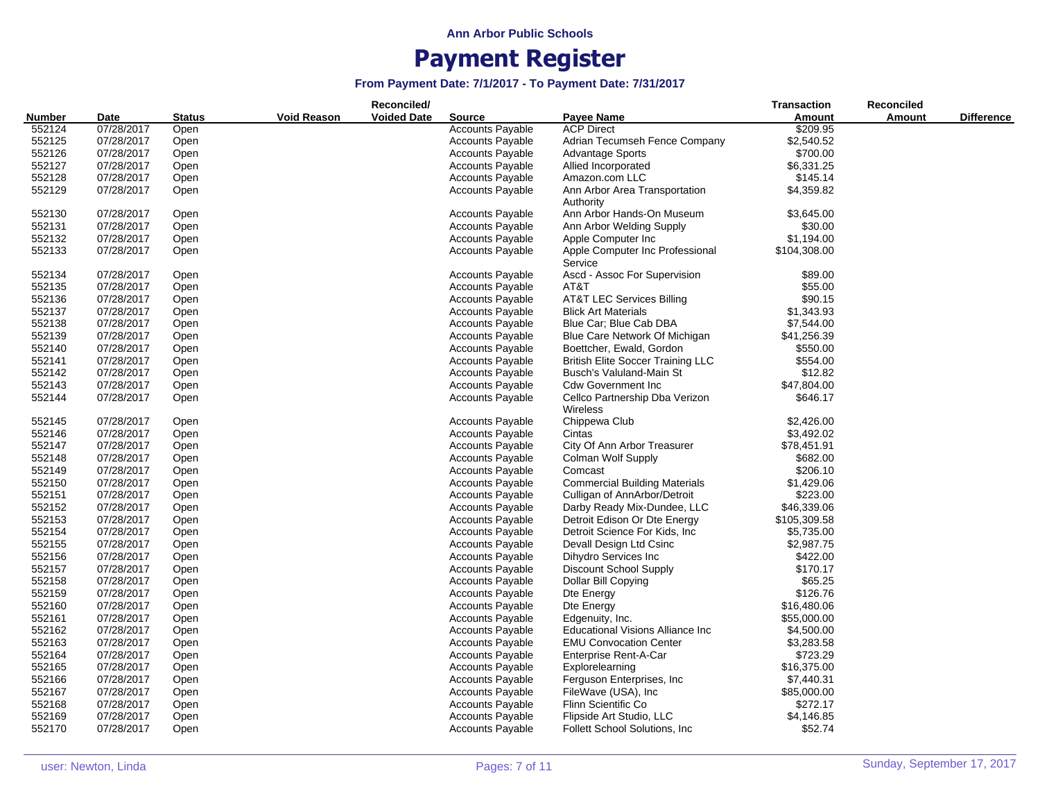|        |            |               |                    | Reconciled/        |                         |                                            | <b>Transaction</b> | <b>Reconciled</b> |                   |
|--------|------------|---------------|--------------------|--------------------|-------------------------|--------------------------------------------|--------------------|-------------------|-------------------|
| Number | Date       | <b>Status</b> | <b>Void Reason</b> | <b>Voided Date</b> | <b>Source</b>           | <b>Payee Name</b>                          | Amount             | Amount            | <b>Difference</b> |
| 552124 | 07/28/2017 | Open          |                    |                    | <b>Accounts Payable</b> | <b>ACP Direct</b>                          | \$209.95           |                   |                   |
| 552125 | 07/28/2017 | Open          |                    |                    | <b>Accounts Payable</b> | Adrian Tecumseh Fence Company              | \$2,540.52         |                   |                   |
| 552126 | 07/28/2017 | Open          |                    |                    | <b>Accounts Payable</b> | <b>Advantage Sports</b>                    | \$700.00           |                   |                   |
| 552127 | 07/28/2017 | Open          |                    |                    | <b>Accounts Payable</b> | Allied Incorporated                        | \$6,331.25         |                   |                   |
| 552128 | 07/28/2017 | Open          |                    |                    | <b>Accounts Payable</b> | Amazon.com LLC                             | \$145.14           |                   |                   |
| 552129 | 07/28/2017 | Open          |                    |                    | <b>Accounts Payable</b> | Ann Arbor Area Transportation              | \$4,359.82         |                   |                   |
|        |            |               |                    |                    |                         | Authority                                  |                    |                   |                   |
| 552130 | 07/28/2017 | Open          |                    |                    | <b>Accounts Payable</b> | Ann Arbor Hands-On Museum                  | \$3,645.00         |                   |                   |
| 552131 | 07/28/2017 | Open          |                    |                    | <b>Accounts Payable</b> | Ann Arbor Welding Supply                   | \$30.00            |                   |                   |
| 552132 | 07/28/2017 | Open          |                    |                    | <b>Accounts Payable</b> | Apple Computer Inc                         | \$1,194.00         |                   |                   |
| 552133 | 07/28/2017 | Open          |                    |                    | <b>Accounts Payable</b> | Apple Computer Inc Professional<br>Service | \$104,308.00       |                   |                   |
| 552134 | 07/28/2017 | Open          |                    |                    | <b>Accounts Payable</b> | Ascd - Assoc For Supervision               | \$89.00            |                   |                   |
| 552135 | 07/28/2017 | Open          |                    |                    | <b>Accounts Payable</b> | AT&T                                       | \$55.00            |                   |                   |
| 552136 | 07/28/2017 | Open          |                    |                    | <b>Accounts Payable</b> | AT&T LEC Services Billing                  | \$90.15            |                   |                   |
| 552137 | 07/28/2017 | Open          |                    |                    | Accounts Payable        | <b>Blick Art Materials</b>                 | \$1,343.93         |                   |                   |
| 552138 | 07/28/2017 | Open          |                    |                    | <b>Accounts Payable</b> | Blue Car; Blue Cab DBA                     | \$7,544.00         |                   |                   |
| 552139 | 07/28/2017 | Open          |                    |                    | <b>Accounts Payable</b> | Blue Care Network Of Michigan              | \$41,256.39        |                   |                   |
| 552140 | 07/28/2017 | Open          |                    |                    | <b>Accounts Payable</b> | Boettcher, Ewald, Gordon                   | \$550.00           |                   |                   |
| 552141 | 07/28/2017 | Open          |                    |                    | <b>Accounts Payable</b> | <b>British Elite Soccer Training LLC</b>   | \$554.00           |                   |                   |
| 552142 | 07/28/2017 | Open          |                    |                    | <b>Accounts Payable</b> | Busch's Valuland-Main St                   | \$12.82            |                   |                   |
| 552143 | 07/28/2017 | Open          |                    |                    | <b>Accounts Payable</b> | <b>Cdw Government Inc.</b>                 | \$47,804.00        |                   |                   |
| 552144 | 07/28/2017 | Open          |                    |                    | <b>Accounts Payable</b> | Cellco Partnership Dba Verizon             | \$646.17           |                   |                   |
|        |            |               |                    |                    |                         | Wireless                                   |                    |                   |                   |
| 552145 | 07/28/2017 | Open          |                    |                    | <b>Accounts Payable</b> | Chippewa Club                              | \$2,426.00         |                   |                   |
| 552146 | 07/28/2017 | Open          |                    |                    | <b>Accounts Payable</b> | Cintas                                     | \$3,492.02         |                   |                   |
| 552147 | 07/28/2017 | Open          |                    |                    | <b>Accounts Payable</b> | City Of Ann Arbor Treasurer                | \$78,451.91        |                   |                   |
| 552148 | 07/28/2017 | Open          |                    |                    | <b>Accounts Payable</b> | Colman Wolf Supply                         | \$682.00           |                   |                   |
| 552149 | 07/28/2017 | Open          |                    |                    | <b>Accounts Payable</b> | Comcast                                    | \$206.10           |                   |                   |
| 552150 | 07/28/2017 | Open          |                    |                    | <b>Accounts Payable</b> | <b>Commercial Building Materials</b>       | \$1,429.06         |                   |                   |
| 552151 | 07/28/2017 | Open          |                    |                    | <b>Accounts Payable</b> | Culligan of AnnArbor/Detroit               | \$223.00           |                   |                   |
| 552152 | 07/28/2017 | Open          |                    |                    | <b>Accounts Payable</b> | Darby Ready Mix-Dundee, LLC                | \$46,339.06        |                   |                   |
| 552153 | 07/28/2017 | Open          |                    |                    | Accounts Payable        | Detroit Edison Or Dte Energy               | \$105,309.58       |                   |                   |
| 552154 | 07/28/2017 | Open          |                    |                    | Accounts Payable        | Detroit Science For Kids, Inc              | \$5,735.00         |                   |                   |
| 552155 | 07/28/2017 | Open          |                    |                    | Accounts Payable        | Devall Design Ltd Csinc                    | \$2,987.75         |                   |                   |
| 552156 | 07/28/2017 | Open          |                    |                    | <b>Accounts Payable</b> | Dihydro Services Inc                       | \$422.00           |                   |                   |
| 552157 | 07/28/2017 | Open          |                    |                    | <b>Accounts Payable</b> | <b>Discount School Supply</b>              | \$170.17           |                   |                   |
| 552158 | 07/28/2017 | Open          |                    |                    | <b>Accounts Payable</b> | Dollar Bill Copying                        | \$65.25            |                   |                   |
| 552159 | 07/28/2017 | Open          |                    |                    | <b>Accounts Payable</b> | Dte Energy                                 | \$126.76           |                   |                   |
| 552160 | 07/28/2017 | Open          |                    |                    | <b>Accounts Payable</b> | Dte Energy                                 | \$16,480.06        |                   |                   |
| 552161 | 07/28/2017 | Open          |                    |                    | <b>Accounts Payable</b> | Edgenuity, Inc.                            | \$55,000.00        |                   |                   |
| 552162 | 07/28/2017 | Open          |                    |                    | <b>Accounts Payable</b> | <b>Educational Visions Alliance Inc.</b>   | \$4,500.00         |                   |                   |
| 552163 | 07/28/2017 | Open          |                    |                    | <b>Accounts Payable</b> | <b>EMU Convocation Center</b>              | \$3,283.58         |                   |                   |
| 552164 | 07/28/2017 | Open          |                    |                    | Accounts Payable        | Enterprise Rent-A-Car                      | \$723.29           |                   |                   |
| 552165 |            |               |                    |                    |                         |                                            | \$16,375.00        |                   |                   |
|        | 07/28/2017 | Open          |                    |                    | <b>Accounts Payable</b> | Explorelearning                            |                    |                   |                   |
| 552166 | 07/28/2017 | Open          |                    |                    | <b>Accounts Payable</b> | Ferguson Enterprises, Inc.                 | \$7,440.31         |                   |                   |
| 552167 | 07/28/2017 | Open          |                    |                    | <b>Accounts Payable</b> | FileWave (USA), Inc.                       | \$85,000.00        |                   |                   |
| 552168 | 07/28/2017 | Open          |                    |                    | <b>Accounts Payable</b> | Flinn Scientific Co                        | \$272.17           |                   |                   |
| 552169 | 07/28/2017 | Open          |                    |                    | <b>Accounts Payable</b> | Flipside Art Studio, LLC                   | \$4,146.85         |                   |                   |
| 552170 | 07/28/2017 | Open          |                    |                    | <b>Accounts Payable</b> | <b>Follett School Solutions, Inc.</b>      | \$52.74            |                   |                   |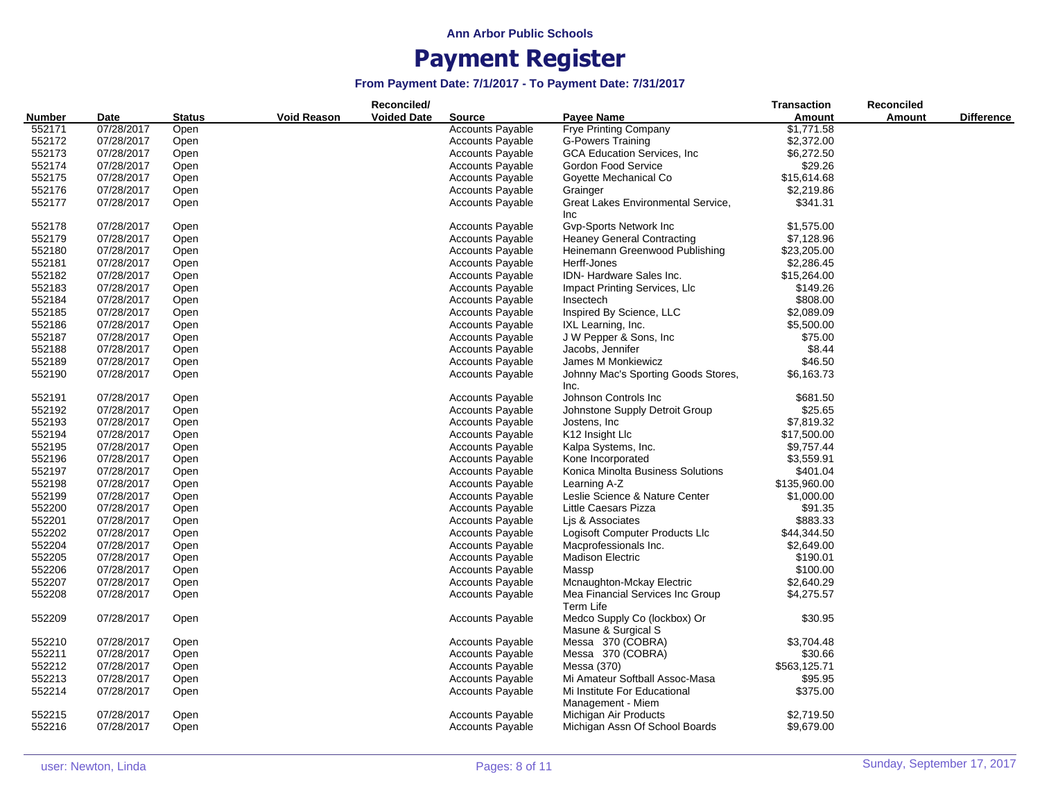|                       |            |               |                    | Reconciled/        |                         |                                     | <b>Transaction</b> | <b>Reconciled</b> |                   |
|-----------------------|------------|---------------|--------------------|--------------------|-------------------------|-------------------------------------|--------------------|-------------------|-------------------|
| <b>Number</b><br>Date |            | <b>Status</b> | <b>Void Reason</b> | <b>Voided Date</b> | <b>Source</b>           | <b>Pavee Name</b>                   | Amount             | <b>Amount</b>     | <b>Difference</b> |
| 552171                | 07/28/2017 | Open          |                    |                    | <b>Accounts Payable</b> | <b>Frye Printing Company</b>        | \$1,771.58         |                   |                   |
| 552172                | 07/28/2017 | Open          |                    |                    | <b>Accounts Payable</b> | <b>G-Powers Training</b>            | \$2,372.00         |                   |                   |
| 552173                | 07/28/2017 | Open          |                    |                    | <b>Accounts Payable</b> | <b>GCA Education Services, Inc.</b> | \$6,272.50         |                   |                   |
| 552174                | 07/28/2017 | Open          |                    |                    | <b>Accounts Payable</b> | Gordon Food Service                 | \$29.26            |                   |                   |
| 552175                | 07/28/2017 | Open          |                    |                    | <b>Accounts Payable</b> | Goyette Mechanical Co               | \$15,614.68        |                   |                   |
| 552176                | 07/28/2017 | Open          |                    |                    | <b>Accounts Payable</b> | Grainger                            | \$2,219.86         |                   |                   |
| 552177                | 07/28/2017 | Open          |                    |                    | <b>Accounts Payable</b> | Great Lakes Environmental Service,  | \$341.31           |                   |                   |
|                       |            |               |                    |                    |                         | Inc.                                |                    |                   |                   |
| 552178                | 07/28/2017 | Open          |                    |                    | <b>Accounts Payable</b> | Gvp-Sports Network Inc              | \$1,575.00         |                   |                   |
| 552179                | 07/28/2017 | Open          |                    |                    | <b>Accounts Payable</b> | <b>Heaney General Contracting</b>   | \$7,128.96         |                   |                   |
| 552180                | 07/28/2017 | Open          |                    |                    | <b>Accounts Payable</b> | Heinemann Greenwood Publishing      | \$23,205.00        |                   |                   |
|                       |            |               |                    |                    |                         |                                     |                    |                   |                   |
| 552181                | 07/28/2017 | Open          |                    |                    | <b>Accounts Payable</b> | Herff-Jones                         | \$2,286.45         |                   |                   |
| 552182                | 07/28/2017 | Open          |                    |                    | <b>Accounts Payable</b> | IDN-Hardware Sales Inc.             | \$15,264.00        |                   |                   |
| 552183                | 07/28/2017 | Open          |                    |                    | <b>Accounts Payable</b> | Impact Printing Services, LIc       | \$149.26           |                   |                   |
| 552184                | 07/28/2017 | Open          |                    |                    | <b>Accounts Payable</b> | Insectech                           | \$808.00           |                   |                   |
| 552185                | 07/28/2017 | Open          |                    |                    | <b>Accounts Payable</b> | Inspired By Science, LLC            | \$2,089.09         |                   |                   |
| 552186                | 07/28/2017 | Open          |                    |                    | <b>Accounts Payable</b> | IXL Learning, Inc.                  | \$5,500.00         |                   |                   |
| 552187                | 07/28/2017 | Open          |                    |                    | <b>Accounts Payable</b> | J W Pepper & Sons, Inc              | \$75.00            |                   |                   |
| 552188                | 07/28/2017 | Open          |                    |                    | <b>Accounts Payable</b> | Jacobs, Jennifer                    | \$8.44             |                   |                   |
| 552189                | 07/28/2017 | Open          |                    |                    | <b>Accounts Payable</b> | James M Monkiewicz                  | \$46.50            |                   |                   |
| 552190                | 07/28/2017 | Open          |                    |                    | <b>Accounts Payable</b> | Johnny Mac's Sporting Goods Stores, | \$6,163.73         |                   |                   |
|                       |            |               |                    |                    |                         | Inc.                                |                    |                   |                   |
| 552191                | 07/28/2017 | Open          |                    |                    | <b>Accounts Payable</b> | Johnson Controls Inc                | \$681.50           |                   |                   |
| 552192                | 07/28/2017 | Open          |                    |                    | <b>Accounts Payable</b> | Johnstone Supply Detroit Group      | \$25.65            |                   |                   |
| 552193                | 07/28/2017 | Open          |                    |                    | <b>Accounts Payable</b> | Jostens, Inc                        | \$7,819.32         |                   |                   |
| 552194                | 07/28/2017 | Open          |                    |                    | <b>Accounts Payable</b> | K12 Insight Llc                     | \$17,500.00        |                   |                   |
| 552195                | 07/28/2017 | Open          |                    |                    | <b>Accounts Payable</b> | Kalpa Systems, Inc.                 | \$9,757.44         |                   |                   |
| 552196                | 07/28/2017 | Open          |                    |                    | <b>Accounts Payable</b> | Kone Incorporated                   | \$3,559.91         |                   |                   |
| 552197                | 07/28/2017 | Open          |                    |                    | <b>Accounts Payable</b> | Konica Minolta Business Solutions   | \$401.04           |                   |                   |
| 552198                | 07/28/2017 | Open          |                    |                    | <b>Accounts Payable</b> | Learning A-Z                        | \$135,960.00       |                   |                   |
| 552199                | 07/28/2017 | Open          |                    |                    | <b>Accounts Payable</b> | Leslie Science & Nature Center      | \$1,000.00         |                   |                   |
| 552200                | 07/28/2017 | Open          |                    |                    | <b>Accounts Payable</b> | Little Caesars Pizza                | \$91.35            |                   |                   |
| 552201                | 07/28/2017 | Open          |                    |                    | <b>Accounts Payable</b> | Lis & Associates                    | \$883.33           |                   |                   |
| 552202                | 07/28/2017 | Open          |                    |                    | <b>Accounts Payable</b> | Logisoft Computer Products Llc      | \$44,344.50        |                   |                   |
| 552204                | 07/28/2017 | Open          |                    |                    | <b>Accounts Payable</b> | Macprofessionals Inc.               | \$2,649.00         |                   |                   |
| 552205                | 07/28/2017 |               |                    |                    |                         | <b>Madison Electric</b>             | \$190.01           |                   |                   |
|                       |            | Open          |                    |                    | <b>Accounts Payable</b> |                                     |                    |                   |                   |
| 552206                | 07/28/2017 | Open          |                    |                    | <b>Accounts Payable</b> | Massp                               | \$100.00           |                   |                   |
| 552207                | 07/28/2017 | Open          |                    |                    | <b>Accounts Payable</b> | Mcnaughton-Mckay Electric           | \$2,640.29         |                   |                   |
| 552208                | 07/28/2017 | Open          |                    |                    | <b>Accounts Payable</b> | Mea Financial Services Inc Group    | \$4,275.57         |                   |                   |
|                       |            |               |                    |                    |                         | Term Life                           |                    |                   |                   |
| 552209                | 07/28/2017 | Open          |                    |                    | <b>Accounts Payable</b> | Medco Supply Co (lockbox) Or        | \$30.95            |                   |                   |
|                       |            |               |                    |                    |                         | Masune & Surgical S                 |                    |                   |                   |
| 552210                | 07/28/2017 | Open          |                    |                    | <b>Accounts Payable</b> | Messa 370 (COBRA)                   | \$3,704.48         |                   |                   |
| 552211                | 07/28/2017 | Open          |                    |                    | <b>Accounts Payable</b> | Messa 370 (COBRA)                   | \$30.66            |                   |                   |
| 552212                | 07/28/2017 | Open          |                    |                    | <b>Accounts Payable</b> | Messa (370)                         | \$563,125.71       |                   |                   |
| 552213                | 07/28/2017 | Open          |                    |                    | <b>Accounts Payable</b> | Mi Amateur Softball Assoc-Masa      | \$95.95            |                   |                   |
| 552214                | 07/28/2017 | Open          |                    |                    | <b>Accounts Payable</b> | Mi Institute For Educational        | \$375.00           |                   |                   |
|                       |            |               |                    |                    |                         | Management - Miem                   |                    |                   |                   |
| 552215                | 07/28/2017 | Open          |                    |                    | <b>Accounts Payable</b> | Michigan Air Products               | \$2,719.50         |                   |                   |
| 552216                | 07/28/2017 | Open          |                    |                    | <b>Accounts Payable</b> | Michigan Assn Of School Boards      | \$9,679.00         |                   |                   |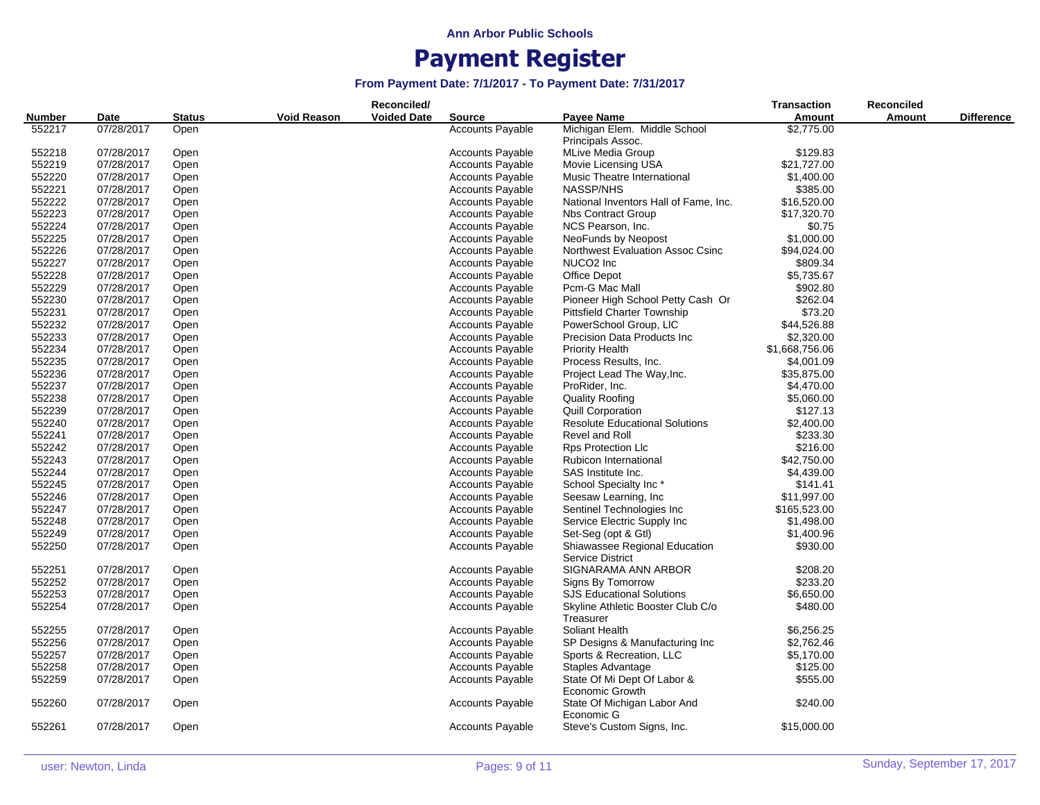|                |            | Reconciled/   |                    |                    |                         |                                       |                | <b>Reconciled</b> |                   |
|----------------|------------|---------------|--------------------|--------------------|-------------------------|---------------------------------------|----------------|-------------------|-------------------|
| Number<br>Date |            | <b>Status</b> | <b>Void Reason</b> | <b>Voided Date</b> | <b>Source</b>           | Payee Name                            | Amount         | <b>Amount</b>     | <b>Difference</b> |
| 552217         | 07/28/2017 | Open          |                    |                    | <b>Accounts Payable</b> | Michigan Elem. Middle School          | \$2,775.00     |                   |                   |
|                |            |               |                    |                    |                         | Principals Assoc.                     |                |                   |                   |
| 552218         | 07/28/2017 | Open          |                    |                    | <b>Accounts Payable</b> | MLive Media Group                     | \$129.83       |                   |                   |
| 552219         | 07/28/2017 | Open          |                    |                    | <b>Accounts Payable</b> | Movie Licensing USA                   | \$21,727.00    |                   |                   |
| 552220         | 07/28/2017 | Open          |                    |                    | <b>Accounts Payable</b> | Music Theatre International           | \$1,400.00     |                   |                   |
| 552221         | 07/28/2017 | Open          |                    |                    | <b>Accounts Payable</b> | <b>NASSP/NHS</b>                      | \$385.00       |                   |                   |
| 552222         | 07/28/2017 | Open          |                    |                    | Accounts Payable        | National Inventors Hall of Fame, Inc. | \$16,520.00    |                   |                   |
| 552223         | 07/28/2017 | Open          |                    |                    | <b>Accounts Payable</b> | <b>Nbs Contract Group</b>             | \$17,320.70    |                   |                   |
| 552224         | 07/28/2017 | Open          |                    |                    | <b>Accounts Payable</b> | NCS Pearson, Inc.                     | \$0.75         |                   |                   |
| 552225         | 07/28/2017 | Open          |                    |                    | <b>Accounts Payable</b> | NeoFunds by Neopost                   | \$1,000.00     |                   |                   |
| 552226         | 07/28/2017 | Open          |                    |                    | <b>Accounts Payable</b> | Northwest Evaluation Assoc Csinc      | \$94,024.00    |                   |                   |
| 552227         | 07/28/2017 | Open          |                    |                    | <b>Accounts Payable</b> | NUCO <sub>2</sub> Inc                 | \$809.34       |                   |                   |
| 552228         | 07/28/2017 | Open          |                    |                    | <b>Accounts Payable</b> | Office Depot                          | \$5,735.67     |                   |                   |
| 552229         | 07/28/2017 | Open          |                    |                    | <b>Accounts Payable</b> | Pcm-G Mac Mall                        | \$902.80       |                   |                   |
| 552230         | 07/28/2017 | Open          |                    |                    | <b>Accounts Payable</b> | Pioneer High School Petty Cash Or     | \$262.04       |                   |                   |
| 552231         | 07/28/2017 | Open          |                    |                    | <b>Accounts Payable</b> | Pittsfield Charter Township           | \$73.20        |                   |                   |
| 552232         | 07/28/2017 | Open          |                    |                    | <b>Accounts Payable</b> | PowerSchool Group, LIC                | \$44,526.88    |                   |                   |
| 552233         | 07/28/2017 | Open          |                    |                    | <b>Accounts Payable</b> | Precision Data Products Inc.          | \$2,320.00     |                   |                   |
| 552234         | 07/28/2017 | Open          |                    |                    | <b>Accounts Payable</b> | <b>Priority Health</b>                | \$1,668,756.06 |                   |                   |
| 552235         | 07/28/2017 | Open          |                    |                    | <b>Accounts Payable</b> | Process Results, Inc.                 | \$4,001.09     |                   |                   |
| 552236         | 07/28/2017 | Open          |                    |                    | <b>Accounts Payable</b> | Project Lead The Way, Inc.            | \$35,875.00    |                   |                   |
| 552237         | 07/28/2017 | Open          |                    |                    | <b>Accounts Payable</b> | ProRider, Inc.                        | \$4,470.00     |                   |                   |
| 552238         | 07/28/2017 | Open          |                    |                    | <b>Accounts Payable</b> | <b>Quality Roofing</b>                | \$5,060.00     |                   |                   |
| 552239         | 07/28/2017 | Open          |                    |                    | <b>Accounts Payable</b> | <b>Quill Corporation</b>              | \$127.13       |                   |                   |
| 552240         | 07/28/2017 | Open          |                    |                    | <b>Accounts Payable</b> | <b>Resolute Educational Solutions</b> | \$2,400.00     |                   |                   |
| 552241         | 07/28/2017 | Open          |                    |                    | <b>Accounts Payable</b> | Revel and Roll                        | \$233.30       |                   |                   |
| 552242         | 07/28/2017 | Open          |                    |                    | <b>Accounts Payable</b> | <b>Rps Protection Llc</b>             | \$216.00       |                   |                   |
| 552243         | 07/28/2017 | Open          |                    |                    | <b>Accounts Payable</b> | Rubicon International                 | \$42,750.00    |                   |                   |
| 552244         | 07/28/2017 | Open          |                    |                    | <b>Accounts Payable</b> | SAS Institute Inc.                    | \$4,439.00     |                   |                   |
| 552245         | 07/28/2017 | Open          |                    |                    | <b>Accounts Payable</b> | School Specialty Inc*                 | \$141.41       |                   |                   |
| 552246         | 07/28/2017 | Open          |                    |                    | <b>Accounts Payable</b> | Seesaw Learning, Inc.                 | \$11,997.00    |                   |                   |
| 552247         | 07/28/2017 | Open          |                    |                    | <b>Accounts Payable</b> | Sentinel Technologies Inc             | \$165,523.00   |                   |                   |
| 552248         | 07/28/2017 | Open          |                    |                    | <b>Accounts Payable</b> | Service Electric Supply Inc           | \$1,498.00     |                   |                   |
| 552249         | 07/28/2017 | Open          |                    |                    | <b>Accounts Payable</b> | Set-Seg (opt & Gtl)                   | \$1,400.96     |                   |                   |
| 552250         | 07/28/2017 | Open          |                    |                    | <b>Accounts Payable</b> | Shiawassee Regional Education         | \$930.00       |                   |                   |
|                |            |               |                    |                    |                         | <b>Service District</b>               |                |                   |                   |
| 552251         | 07/28/2017 | Open          |                    |                    | <b>Accounts Payable</b> | SIGNARAMA ANN ARBOR                   | \$208.20       |                   |                   |
| 552252         | 07/28/2017 | Open          |                    |                    | <b>Accounts Payable</b> | Signs By Tomorrow                     | \$233.20       |                   |                   |
| 552253         | 07/28/2017 | Open          |                    |                    | <b>Accounts Payable</b> | <b>SJS Educational Solutions</b>      | \$6,650.00     |                   |                   |
| 552254         | 07/28/2017 | Open          |                    |                    | <b>Accounts Payable</b> | Skyline Athletic Booster Club C/o     | \$480.00       |                   |                   |
|                |            |               |                    |                    |                         | Treasurer                             |                |                   |                   |
| 552255         | 07/28/2017 | Open          |                    |                    | <b>Accounts Payable</b> | Soliant Health                        | \$6,256.25     |                   |                   |
| 552256         | 07/28/2017 | Open          |                    |                    | <b>Accounts Payable</b> | SP Designs & Manufacturing Inc        | \$2,762.46     |                   |                   |
| 552257         | 07/28/2017 | Open          |                    |                    | <b>Accounts Payable</b> | Sports & Recreation, LLC              | \$5,170.00     |                   |                   |
| 552258         | 07/28/2017 | Open          |                    |                    | <b>Accounts Payable</b> | Staples Advantage                     | \$125.00       |                   |                   |
| 552259         | 07/28/2017 | Open          |                    |                    | <b>Accounts Payable</b> | State Of Mi Dept Of Labor &           | \$555.00       |                   |                   |
|                |            |               |                    |                    |                         | Economic Growth                       |                |                   |                   |
| 552260         | 07/28/2017 | Open          |                    |                    | Accounts Payable        | State Of Michigan Labor And           | \$240.00       |                   |                   |
|                |            |               |                    |                    |                         | Economic G                            |                |                   |                   |
| 552261         | 07/28/2017 | Open          |                    |                    | <b>Accounts Payable</b> | Steve's Custom Signs, Inc.            | \$15,000.00    |                   |                   |
|                |            |               |                    |                    |                         |                                       |                |                   |                   |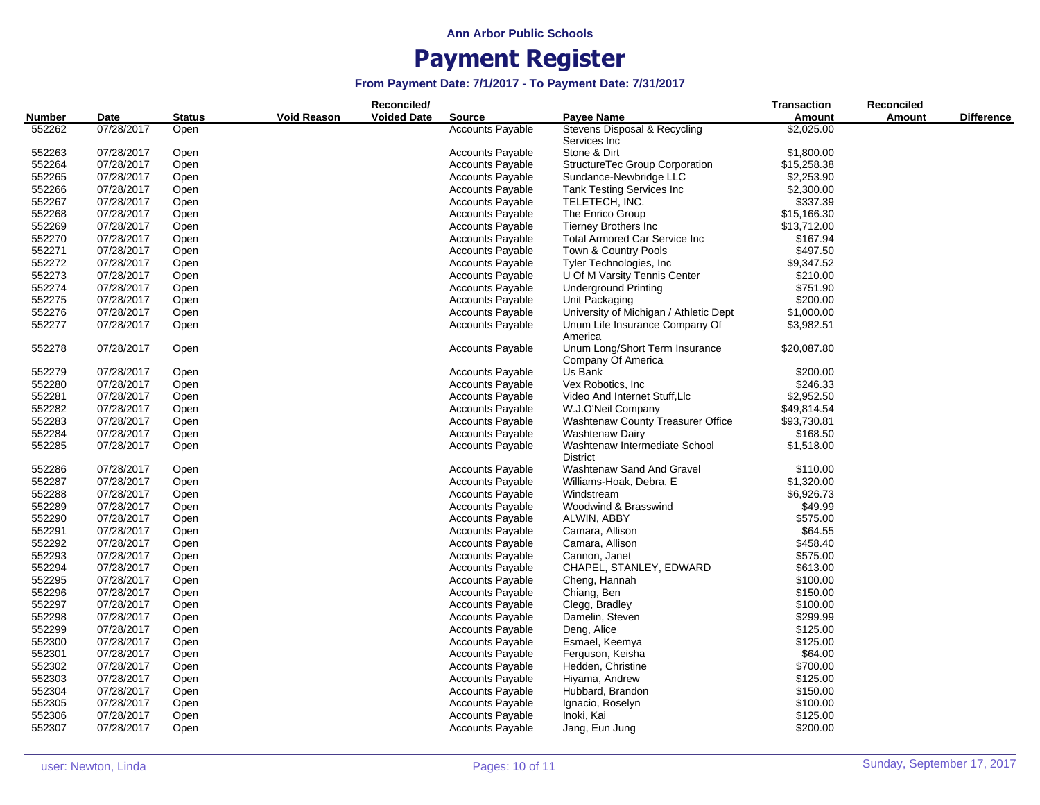|               |            |               |                    | Reconciled/        |                         |                                                                 | Transaction | <b>Reconciled</b> |                   |
|---------------|------------|---------------|--------------------|--------------------|-------------------------|-----------------------------------------------------------------|-------------|-------------------|-------------------|
| <b>Number</b> | Date       | <b>Status</b> | <b>Void Reason</b> | <b>Voided Date</b> | <b>Source</b>           | <b>Pavee Name</b>                                               | Amount      | Amount            | <b>Difference</b> |
| 552262        | 07/28/2017 | Open          |                    |                    | <b>Accounts Payable</b> | Stevens Disposal & Recycling<br>Services Inc                    | \$2,025.00  |                   |                   |
| 552263        | 07/28/2017 | Open          |                    |                    | <b>Accounts Payable</b> | Stone & Dirt                                                    | \$1,800.00  |                   |                   |
| 552264        | 07/28/2017 | Open          |                    |                    | <b>Accounts Payable</b> | StructureTec Group Corporation                                  | \$15,258.38 |                   |                   |
| 552265        | 07/28/2017 | Open          |                    |                    | <b>Accounts Payable</b> | Sundance-Newbridge LLC                                          | \$2,253.90  |                   |                   |
| 552266        | 07/28/2017 | Open          |                    |                    | <b>Accounts Payable</b> | Tank Testing Services Inc                                       | \$2,300.00  |                   |                   |
| 552267        | 07/28/2017 | Open          |                    |                    | <b>Accounts Payable</b> | TELETECH, INC.                                                  | \$337.39    |                   |                   |
| 552268        | 07/28/2017 | Open          |                    |                    | <b>Accounts Payable</b> | The Enrico Group                                                | \$15,166.30 |                   |                   |
| 552269        | 07/28/2017 | Open          |                    |                    | <b>Accounts Payable</b> | <b>Tierney Brothers Inc</b>                                     | \$13,712.00 |                   |                   |
| 552270        | 07/28/2017 | Open          |                    |                    | <b>Accounts Payable</b> | <b>Total Armored Car Service Inc</b>                            | \$167.94    |                   |                   |
| 552271        | 07/28/2017 | Open          |                    |                    | <b>Accounts Payable</b> | Town & Country Pools                                            | \$497.50    |                   |                   |
| 552272        | 07/28/2017 | Open          |                    |                    | <b>Accounts Payable</b> | Tyler Technologies, Inc.                                        | \$9,347.52  |                   |                   |
| 552273        | 07/28/2017 | Open          |                    |                    | <b>Accounts Payable</b> | U Of M Varsity Tennis Center                                    | \$210.00    |                   |                   |
| 552274        | 07/28/2017 | Open          |                    |                    | <b>Accounts Payable</b> | <b>Underground Printing</b>                                     | \$751.90    |                   |                   |
| 552275        | 07/28/2017 | Open          |                    |                    | <b>Accounts Payable</b> | Unit Packaging                                                  | \$200.00    |                   |                   |
| 552276        | 07/28/2017 | Open          |                    |                    | <b>Accounts Payable</b> | University of Michigan / Athletic Dept                          | \$1,000.00  |                   |                   |
| 552277        | 07/28/2017 | Open          |                    |                    | <b>Accounts Payable</b> | Unum Life Insurance Company Of                                  | \$3,982.51  |                   |                   |
| 552278        | 07/28/2017 | Open          |                    |                    | <b>Accounts Payable</b> | America<br>Unum Long/Short Term Insurance<br>Company Of America | \$20,087.80 |                   |                   |
| 552279        | 07/28/2017 | Open          |                    |                    | <b>Accounts Payable</b> | Us Bank                                                         | \$200.00    |                   |                   |
| 552280        | 07/28/2017 | Open          |                    |                    | <b>Accounts Payable</b> | Vex Robotics, Inc.                                              | \$246.33    |                   |                   |
| 552281        | 07/28/2017 | Open          |                    |                    | <b>Accounts Payable</b> | Video And Internet Stuff, Llc                                   | \$2,952.50  |                   |                   |
| 552282        | 07/28/2017 | Open          |                    |                    | <b>Accounts Payable</b> | W.J.O'Neil Company                                              | \$49,814.54 |                   |                   |
| 552283        | 07/28/2017 | Open          |                    |                    | <b>Accounts Payable</b> | <b>Washtenaw County Treasurer Office</b>                        | \$93,730.81 |                   |                   |
| 552284        | 07/28/2017 | Open          |                    |                    | <b>Accounts Payable</b> | <b>Washtenaw Dairy</b>                                          | \$168.50    |                   |                   |
| 552285        | 07/28/2017 | Open          |                    |                    | <b>Accounts Payable</b> | Washtenaw Intermediate School<br><b>District</b>                | \$1,518.00  |                   |                   |
| 552286        | 07/28/2017 | Open          |                    |                    | <b>Accounts Payable</b> | Washtenaw Sand And Gravel                                       | \$110.00    |                   |                   |
| 552287        | 07/28/2017 | Open          |                    |                    | <b>Accounts Payable</b> | Williams-Hoak, Debra, E                                         | \$1,320.00  |                   |                   |
| 552288        | 07/28/2017 | Open          |                    |                    | <b>Accounts Payable</b> | Windstream                                                      | \$6,926.73  |                   |                   |
| 552289        | 07/28/2017 | Open          |                    |                    | <b>Accounts Payable</b> | Woodwind & Brasswind                                            | \$49.99     |                   |                   |
| 552290        | 07/28/2017 | Open          |                    |                    | <b>Accounts Payable</b> | ALWIN, ABBY                                                     | \$575.00    |                   |                   |
| 552291        | 07/28/2017 | Open          |                    |                    | <b>Accounts Payable</b> | Camara, Allison                                                 | \$64.55     |                   |                   |
| 552292        | 07/28/2017 | Open          |                    |                    | <b>Accounts Payable</b> | Camara, Allison                                                 | \$458.40    |                   |                   |
| 552293        | 07/28/2017 | Open          |                    |                    | <b>Accounts Payable</b> | Cannon, Janet                                                   | \$575.00    |                   |                   |
| 552294        | 07/28/2017 | Open          |                    |                    | <b>Accounts Payable</b> | CHAPEL, STANLEY, EDWARD                                         | \$613.00    |                   |                   |
| 552295        | 07/28/2017 | Open          |                    |                    | <b>Accounts Payable</b> | Cheng, Hannah                                                   | \$100.00    |                   |                   |
| 552296        | 07/28/2017 | Open          |                    |                    | <b>Accounts Payable</b> | Chiang, Ben                                                     | \$150.00    |                   |                   |
| 552297        | 07/28/2017 | Open          |                    |                    | <b>Accounts Payable</b> | Clegg, Bradley                                                  | \$100.00    |                   |                   |
| 552298        | 07/28/2017 | Open          |                    |                    | <b>Accounts Payable</b> | Damelin, Steven                                                 | \$299.99    |                   |                   |
| 552299        | 07/28/2017 | Open          |                    |                    | <b>Accounts Payable</b> | Deng, Alice                                                     | \$125.00    |                   |                   |
| 552300        | 07/28/2017 | Open          |                    |                    | <b>Accounts Payable</b> | Esmael, Keemya                                                  | \$125.00    |                   |                   |
| 552301        | 07/28/2017 | Open          |                    |                    | <b>Accounts Payable</b> | Ferguson, Keisha                                                | \$64.00     |                   |                   |
| 552302        | 07/28/2017 | Open          |                    |                    | <b>Accounts Payable</b> | Hedden, Christine                                               | \$700.00    |                   |                   |
| 552303        | 07/28/2017 | Open          |                    |                    | <b>Accounts Payable</b> | Hiyama, Andrew                                                  | \$125.00    |                   |                   |
| 552304        | 07/28/2017 | Open          |                    |                    | Accounts Payable        | Hubbard, Brandon                                                | \$150.00    |                   |                   |
| 552305        | 07/28/2017 | Open          |                    |                    | <b>Accounts Payable</b> | Ignacio, Roselyn                                                | \$100.00    |                   |                   |
| 552306        | 07/28/2017 | Open          |                    |                    | <b>Accounts Payable</b> | Inoki, Kai                                                      | \$125.00    |                   |                   |
| 552307        | 07/28/2017 | Open          |                    |                    | <b>Accounts Payable</b> | Jang, Eun Jung                                                  | \$200.00    |                   |                   |